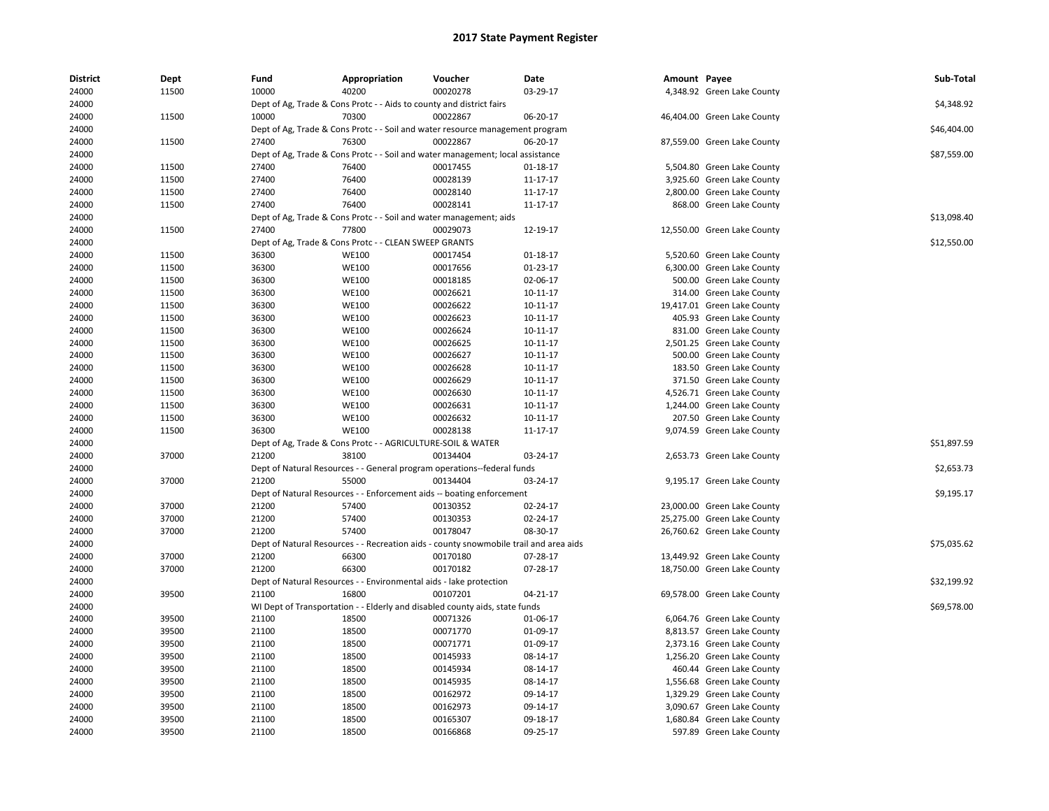| <b>District</b> | Dept  | Fund  | Appropriation                                                                         | Voucher  | Date     | Amount Payee |                             | Sub-Total   |
|-----------------|-------|-------|---------------------------------------------------------------------------------------|----------|----------|--------------|-----------------------------|-------------|
| 24000           | 11500 | 10000 | 40200                                                                                 | 00020278 | 03-29-17 |              | 4,348.92 Green Lake County  |             |
| 24000           |       |       | Dept of Ag, Trade & Cons Protc - - Aids to county and district fairs                  |          |          |              |                             | \$4,348.92  |
| 24000           | 11500 | 10000 | 70300                                                                                 | 00022867 | 06-20-17 |              | 46,404.00 Green Lake County |             |
| 24000           |       |       | Dept of Ag, Trade & Cons Protc - - Soil and water resource management program         |          |          |              |                             | \$46,404.00 |
| 24000           | 11500 | 27400 | 76300                                                                                 | 00022867 | 06-20-17 |              | 87,559.00 Green Lake County |             |
| 24000           |       |       | Dept of Ag, Trade & Cons Protc - - Soil and water management; local assistance        |          |          |              |                             | \$87,559.00 |
| 24000           | 11500 | 27400 | 76400                                                                                 | 00017455 | 01-18-17 |              | 5,504.80 Green Lake County  |             |
| 24000           | 11500 | 27400 | 76400                                                                                 | 00028139 | 11-17-17 |              | 3,925.60 Green Lake County  |             |
| 24000           | 11500 | 27400 | 76400                                                                                 | 00028140 | 11-17-17 |              | 2,800.00 Green Lake County  |             |
| 24000           | 11500 | 27400 | 76400                                                                                 | 00028141 | 11-17-17 |              | 868.00 Green Lake County    |             |
| 24000           |       |       | Dept of Ag, Trade & Cons Protc - - Soil and water management; aids                    |          |          |              |                             | \$13,098.40 |
| 24000           | 11500 | 27400 | 77800                                                                                 | 00029073 | 12-19-17 |              | 12,550.00 Green Lake County |             |
| 24000           |       |       | Dept of Ag, Trade & Cons Protc - - CLEAN SWEEP GRANTS                                 |          |          |              |                             | \$12,550.00 |
| 24000           | 11500 | 36300 | <b>WE100</b>                                                                          | 00017454 | 01-18-17 |              | 5,520.60 Green Lake County  |             |
| 24000           | 11500 | 36300 | <b>WE100</b>                                                                          | 00017656 | 01-23-17 |              | 6,300.00 Green Lake County  |             |
| 24000           | 11500 | 36300 | <b>WE100</b>                                                                          | 00018185 | 02-06-17 |              | 500.00 Green Lake County    |             |
| 24000           | 11500 | 36300 | <b>WE100</b>                                                                          | 00026621 | 10-11-17 |              | 314.00 Green Lake County    |             |
| 24000           | 11500 | 36300 | <b>WE100</b>                                                                          | 00026622 | 10-11-17 |              | 19,417.01 Green Lake County |             |
| 24000           | 11500 | 36300 | WE100                                                                                 | 00026623 | 10-11-17 |              | 405.93 Green Lake County    |             |
| 24000           | 11500 | 36300 | <b>WE100</b>                                                                          | 00026624 | 10-11-17 |              | 831.00 Green Lake County    |             |
| 24000           | 11500 | 36300 | <b>WE100</b>                                                                          | 00026625 | 10-11-17 |              | 2,501.25 Green Lake County  |             |
| 24000           | 11500 | 36300 | <b>WE100</b>                                                                          | 00026627 | 10-11-17 |              | 500.00 Green Lake County    |             |
| 24000           | 11500 | 36300 | <b>WE100</b>                                                                          | 00026628 | 10-11-17 |              | 183.50 Green Lake County    |             |
| 24000           | 11500 | 36300 | <b>WE100</b>                                                                          | 00026629 | 10-11-17 |              | 371.50 Green Lake County    |             |
| 24000           | 11500 | 36300 | <b>WE100</b>                                                                          | 00026630 | 10-11-17 |              | 4,526.71 Green Lake County  |             |
| 24000           | 11500 | 36300 | <b>WE100</b>                                                                          | 00026631 | 10-11-17 |              | 1,244.00 Green Lake County  |             |
| 24000           | 11500 | 36300 | <b>WE100</b>                                                                          | 00026632 | 10-11-17 |              | 207.50 Green Lake County    |             |
| 24000           | 11500 | 36300 | <b>WE100</b>                                                                          | 00028138 | 11-17-17 |              | 9,074.59 Green Lake County  |             |
| 24000           |       |       | Dept of Ag, Trade & Cons Protc - - AGRICULTURE-SOIL & WATER                           |          |          |              |                             | \$51,897.59 |
| 24000           | 37000 | 21200 | 38100                                                                                 | 00134404 | 03-24-17 |              | 2,653.73 Green Lake County  |             |
| 24000           |       |       | Dept of Natural Resources - - General program operations--federal funds               |          |          |              |                             | \$2,653.73  |
| 24000           | 37000 | 21200 | 55000                                                                                 | 00134404 | 03-24-17 |              | 9,195.17 Green Lake County  |             |
| 24000           |       |       | Dept of Natural Resources - - Enforcement aids -- boating enforcement                 |          |          |              |                             | \$9,195.17  |
| 24000           | 37000 | 21200 | 57400                                                                                 | 00130352 | 02-24-17 |              | 23,000.00 Green Lake County |             |
| 24000           | 37000 | 21200 | 57400                                                                                 | 00130353 | 02-24-17 |              | 25,275.00 Green Lake County |             |
| 24000           | 37000 | 21200 | 57400                                                                                 | 00178047 | 08-30-17 |              | 26,760.62 Green Lake County |             |
| 24000           |       |       | Dept of Natural Resources - - Recreation aids - county snowmobile trail and area aids |          |          |              |                             | \$75,035.62 |
| 24000           | 37000 | 21200 | 66300                                                                                 | 00170180 | 07-28-17 |              | 13,449.92 Green Lake County |             |
| 24000           | 37000 | 21200 | 66300                                                                                 | 00170182 | 07-28-17 |              | 18,750.00 Green Lake County |             |
| 24000           |       |       | Dept of Natural Resources - - Environmental aids - lake protection                    |          |          |              |                             | \$32,199.92 |
| 24000           | 39500 | 21100 | 16800                                                                                 | 00107201 | 04-21-17 |              | 69,578.00 Green Lake County |             |
| 24000           |       |       | WI Dept of Transportation - - Elderly and disabled county aids, state funds           |          |          |              |                             | \$69,578.00 |
| 24000           | 39500 | 21100 | 18500                                                                                 | 00071326 | 01-06-17 |              | 6,064.76 Green Lake County  |             |
| 24000           | 39500 | 21100 | 18500                                                                                 | 00071770 | 01-09-17 |              | 8,813.57 Green Lake County  |             |
| 24000           | 39500 | 21100 | 18500                                                                                 | 00071771 | 01-09-17 |              | 2,373.16 Green Lake County  |             |
| 24000           | 39500 | 21100 | 18500                                                                                 | 00145933 | 08-14-17 |              | 1,256.20 Green Lake County  |             |
| 24000           | 39500 | 21100 | 18500                                                                                 | 00145934 | 08-14-17 |              | 460.44 Green Lake County    |             |
| 24000           | 39500 | 21100 | 18500                                                                                 | 00145935 | 08-14-17 |              | 1,556.68 Green Lake County  |             |
| 24000           | 39500 | 21100 | 18500                                                                                 | 00162972 | 09-14-17 |              | 1,329.29 Green Lake County  |             |
| 24000           | 39500 | 21100 | 18500                                                                                 | 00162973 | 09-14-17 |              | 3,090.67 Green Lake County  |             |
| 24000           | 39500 | 21100 | 18500                                                                                 | 00165307 | 09-18-17 |              | 1,680.84 Green Lake County  |             |
| 24000           | 39500 | 21100 | 18500                                                                                 | 00166868 | 09-25-17 |              | 597.89 Green Lake County    |             |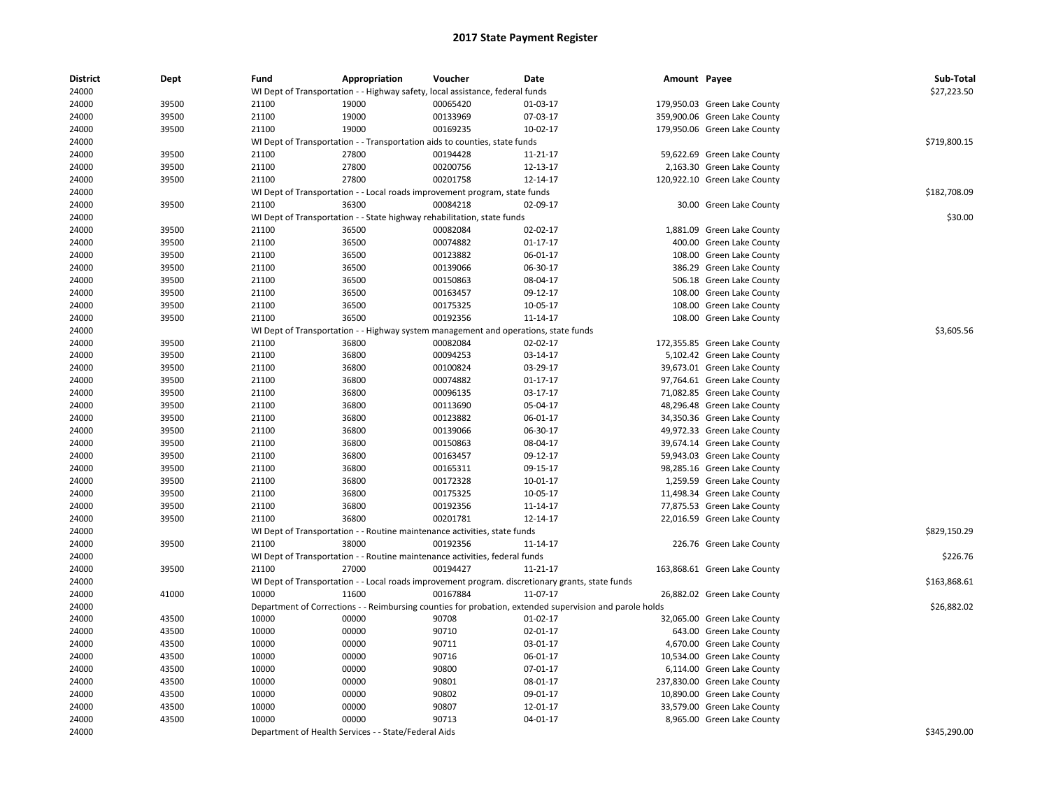| <b>District</b> | Dept  | Fund  | Appropriation                                                                                           | Voucher  | Date           | Amount Payee |                              | Sub-Total    |
|-----------------|-------|-------|---------------------------------------------------------------------------------------------------------|----------|----------------|--------------|------------------------------|--------------|
| 24000           |       |       | WI Dept of Transportation - - Highway safety, local assistance, federal funds                           |          |                |              |                              | \$27,223.50  |
| 24000           | 39500 | 21100 | 19000                                                                                                   | 00065420 | 01-03-17       |              | 179,950.03 Green Lake County |              |
| 24000           | 39500 | 21100 | 19000                                                                                                   | 00133969 | 07-03-17       |              | 359,900.06 Green Lake County |              |
| 24000           | 39500 | 21100 | 19000                                                                                                   | 00169235 | 10-02-17       |              | 179,950.06 Green Lake County |              |
| 24000           |       |       | WI Dept of Transportation - - Transportation aids to counties, state funds                              |          |                |              |                              | \$719,800.15 |
| 24000           | 39500 | 21100 | 27800                                                                                                   | 00194428 | 11-21-17       |              | 59,622.69 Green Lake County  |              |
| 24000           | 39500 | 21100 | 27800                                                                                                   | 00200756 | 12-13-17       |              | 2,163.30 Green Lake County   |              |
| 24000           | 39500 | 21100 | 27800                                                                                                   | 00201758 | 12-14-17       |              | 120,922.10 Green Lake County |              |
| 24000           |       |       | WI Dept of Transportation - - Local roads improvement program, state funds                              |          |                |              |                              | \$182,708.09 |
| 24000           | 39500 | 21100 | 36300                                                                                                   | 00084218 | 02-09-17       |              | 30.00 Green Lake County      |              |
| 24000           |       |       | WI Dept of Transportation - - State highway rehabilitation, state funds                                 |          |                |              |                              | \$30.00      |
| 24000           | 39500 | 21100 | 36500                                                                                                   | 00082084 | 02-02-17       |              | 1,881.09 Green Lake County   |              |
| 24000           | 39500 | 21100 | 36500                                                                                                   | 00074882 | $01 - 17 - 17$ | 400.00       | <b>Green Lake County</b>     |              |
| 24000           | 39500 | 21100 | 36500                                                                                                   | 00123882 | 06-01-17       | 108.00       | <b>Green Lake County</b>     |              |
| 24000           | 39500 | 21100 | 36500                                                                                                   | 00139066 | 06-30-17       |              | 386.29 Green Lake County     |              |
| 24000           | 39500 | 21100 | 36500                                                                                                   | 00150863 | 08-04-17       |              | 506.18 Green Lake County     |              |
| 24000           | 39500 | 21100 | 36500                                                                                                   | 00163457 | 09-12-17       |              | 108.00 Green Lake County     |              |
| 24000           | 39500 | 21100 | 36500                                                                                                   | 00175325 | 10-05-17       | 108.00       | <b>Green Lake County</b>     |              |
| 24000           | 39500 | 21100 | 36500                                                                                                   | 00192356 | 11-14-17       | 108.00       | <b>Green Lake County</b>     |              |
| 24000           |       |       | WI Dept of Transportation - - Highway system management and operations, state funds                     |          |                |              |                              | \$3,605.56   |
| 24000           | 39500 | 21100 | 36800                                                                                                   | 00082084 | 02-02-17       |              | 172,355.85 Green Lake County |              |
| 24000           | 39500 | 21100 | 36800                                                                                                   | 00094253 | 03-14-17       |              | 5,102.42 Green Lake County   |              |
| 24000           | 39500 | 21100 | 36800                                                                                                   | 00100824 | 03-29-17       |              | 39,673.01 Green Lake County  |              |
| 24000           | 39500 | 21100 | 36800                                                                                                   | 00074882 | $01 - 17 - 17$ |              | 97,764.61 Green Lake County  |              |
| 24000           | 39500 | 21100 | 36800                                                                                                   | 00096135 | 03-17-17       |              | 71,082.85 Green Lake County  |              |
| 24000           | 39500 | 21100 | 36800                                                                                                   | 00113690 | 05-04-17       |              | 48,296.48 Green Lake County  |              |
| 24000           | 39500 | 21100 | 36800                                                                                                   | 00123882 | 06-01-17       |              | 34,350.36 Green Lake County  |              |
| 24000           | 39500 | 21100 | 36800                                                                                                   | 00139066 | 06-30-17       |              | 49,972.33 Green Lake County  |              |
| 24000           | 39500 | 21100 | 36800                                                                                                   | 00150863 | 08-04-17       |              | 39,674.14 Green Lake County  |              |
| 24000           | 39500 | 21100 | 36800                                                                                                   | 00163457 | 09-12-17       |              | 59,943.03 Green Lake County  |              |
| 24000           | 39500 | 21100 | 36800                                                                                                   | 00165311 | 09-15-17       |              | 98,285.16 Green Lake County  |              |
| 24000           | 39500 | 21100 | 36800                                                                                                   | 00172328 | 10-01-17       |              | 1,259.59 Green Lake County   |              |
| 24000           | 39500 | 21100 | 36800                                                                                                   | 00175325 | 10-05-17       |              | 11,498.34 Green Lake County  |              |
| 24000           | 39500 | 21100 | 36800                                                                                                   | 00192356 | 11-14-17       |              | 77,875.53 Green Lake County  |              |
| 24000           | 39500 | 21100 | 36800                                                                                                   | 00201781 | 12-14-17       |              | 22,016.59 Green Lake County  |              |
| 24000           |       |       | WI Dept of Transportation - - Routine maintenance activities, state funds                               |          |                |              |                              | \$829,150.29 |
| 24000           | 39500 | 21100 | 38000                                                                                                   | 00192356 | 11-14-17       |              | 226.76 Green Lake County     |              |
| 24000           |       |       | WI Dept of Transportation - - Routine maintenance activities, federal funds                             |          |                |              |                              | \$226.76     |
| 24000           | 39500 | 21100 | 27000                                                                                                   | 00194427 | 11-21-17       |              | 163,868.61 Green Lake County |              |
| 24000           |       |       | WI Dept of Transportation - - Local roads improvement program. discretionary grants, state funds        |          |                |              |                              | \$163,868.61 |
| 24000           | 41000 | 10000 | 11600                                                                                                   | 00167884 | 11-07-17       |              | 26,882.02 Green Lake County  |              |
| 24000           |       |       | Department of Corrections - - Reimbursing counties for probation, extended supervision and parole holds |          |                |              |                              | \$26,882.02  |
| 24000           | 43500 | 10000 | 00000                                                                                                   | 90708    | 01-02-17       |              | 32,065.00 Green Lake County  |              |
| 24000           | 43500 | 10000 | 00000                                                                                                   | 90710    | 02-01-17       |              | 643.00 Green Lake County     |              |
| 24000           | 43500 | 10000 | 00000                                                                                                   | 90711    | 03-01-17       |              | 4,670.00 Green Lake County   |              |
| 24000           | 43500 | 10000 | 00000                                                                                                   | 90716    | 06-01-17       | 10,534.00    | <b>Green Lake County</b>     |              |
| 24000           | 43500 | 10000 | 00000                                                                                                   | 90800    | 07-01-17       |              | 6,114.00 Green Lake County   |              |
| 24000           | 43500 | 10000 | 00000                                                                                                   | 90801    | 08-01-17       |              | 237,830.00 Green Lake County |              |
| 24000           | 43500 | 10000 | 00000                                                                                                   | 90802    | 09-01-17       |              | 10,890.00 Green Lake County  |              |
| 24000           | 43500 | 10000 | 00000                                                                                                   | 90807    | 12-01-17       |              | 33,579.00 Green Lake County  |              |
| 24000           | 43500 | 10000 | 00000                                                                                                   | 90713    | 04-01-17       |              | 8,965.00 Green Lake County   |              |
| 24000           |       |       |                                                                                                         |          |                |              |                              | \$345,290.00 |
|                 |       |       | Department of Health Services - - State/Federal Aids                                                    |          |                |              |                              |              |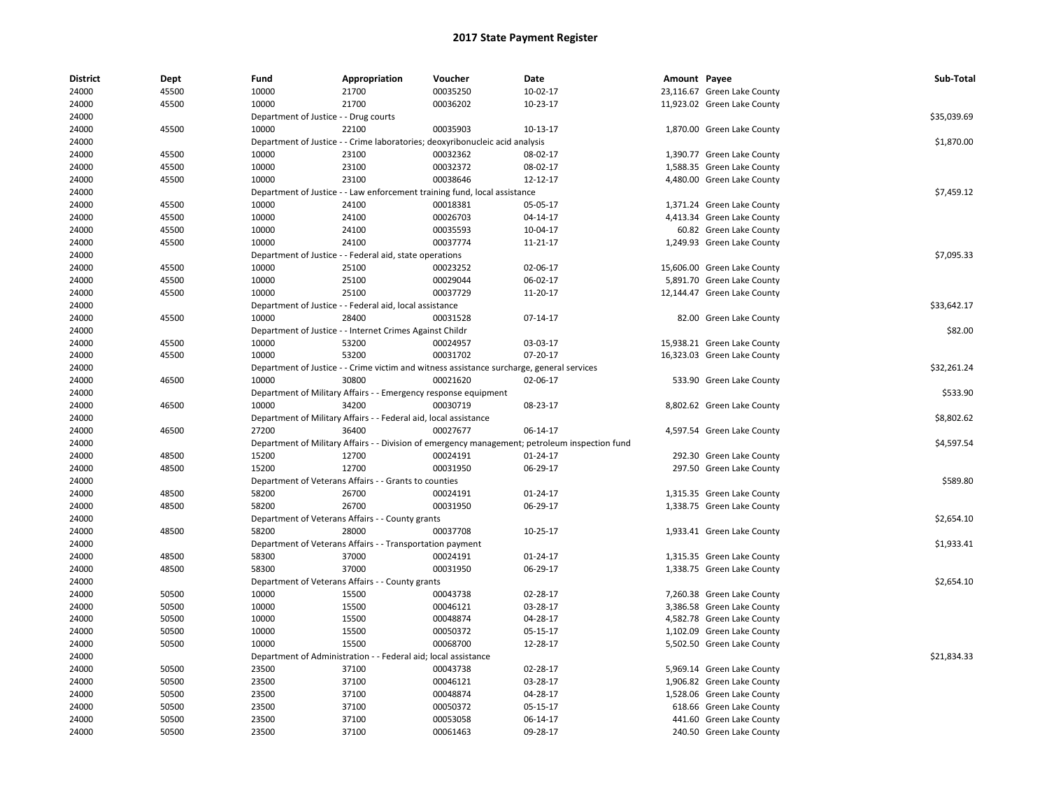| <b>District</b> | Dept  | Fund                                  | Appropriation                                                    | Voucher                                                                                   | Date                                                                                           | Amount Payee |                             | Sub-Total   |
|-----------------|-------|---------------------------------------|------------------------------------------------------------------|-------------------------------------------------------------------------------------------|------------------------------------------------------------------------------------------------|--------------|-----------------------------|-------------|
| 24000           | 45500 | 10000                                 | 21700                                                            | 00035250                                                                                  | $10-02-17$                                                                                     |              | 23,116.67 Green Lake County |             |
| 24000           | 45500 | 10000                                 | 21700                                                            | 00036202                                                                                  | 10-23-17                                                                                       |              | 11,923.02 Green Lake County |             |
| 24000           |       | Department of Justice - - Drug courts |                                                                  |                                                                                           |                                                                                                |              |                             | \$35,039.69 |
| 24000           | 45500 | 10000                                 | 22100                                                            | 00035903                                                                                  | 10-13-17                                                                                       |              | 1,870.00 Green Lake County  |             |
| 24000           |       |                                       |                                                                  | Department of Justice - - Crime laboratories; deoxyribonucleic acid analysis              |                                                                                                |              |                             | \$1,870.00  |
| 24000           | 45500 | 10000                                 | 23100                                                            | 00032362                                                                                  | 08-02-17                                                                                       |              | 1,390.77 Green Lake County  |             |
| 24000           | 45500 | 10000                                 | 23100                                                            | 00032372                                                                                  | 08-02-17                                                                                       |              | 1,588.35 Green Lake County  |             |
| 24000           | 45500 | 10000                                 | 23100                                                            | 00038646                                                                                  | 12-12-17                                                                                       |              | 4,480.00 Green Lake County  |             |
| 24000           |       |                                       |                                                                  | Department of Justice - - Law enforcement training fund, local assistance                 |                                                                                                |              |                             | \$7,459.12  |
| 24000           | 45500 | 10000                                 | 24100                                                            | 00018381                                                                                  | 05-05-17                                                                                       |              | 1,371.24 Green Lake County  |             |
| 24000           | 45500 | 10000                                 | 24100                                                            | 00026703                                                                                  | 04-14-17                                                                                       |              | 4,413.34 Green Lake County  |             |
| 24000           | 45500 | 10000                                 | 24100                                                            | 00035593                                                                                  | 10-04-17                                                                                       |              | 60.82 Green Lake County     |             |
| 24000           | 45500 | 10000                                 | 24100                                                            | 00037774                                                                                  | 11-21-17                                                                                       |              | 1,249.93 Green Lake County  |             |
| 24000           |       |                                       | Department of Justice - - Federal aid, state operations          |                                                                                           |                                                                                                |              |                             | \$7,095.33  |
| 24000           | 45500 | 10000                                 | 25100                                                            | 00023252                                                                                  | 02-06-17                                                                                       |              | 15,606.00 Green Lake County |             |
| 24000           | 45500 | 10000                                 | 25100                                                            | 00029044                                                                                  | 06-02-17                                                                                       |              | 5,891.70 Green Lake County  |             |
| 24000           | 45500 | 10000                                 | 25100                                                            | 00037729                                                                                  | 11-20-17                                                                                       |              | 12,144.47 Green Lake County |             |
| 24000           |       |                                       | Department of Justice - - Federal aid, local assistance          |                                                                                           |                                                                                                |              |                             | \$33,642.17 |
| 24000           | 45500 | 10000                                 | 28400                                                            | 00031528                                                                                  | 07-14-17                                                                                       |              | 82.00 Green Lake County     |             |
| 24000           |       |                                       | Department of Justice - - Internet Crimes Against Childr         |                                                                                           |                                                                                                |              |                             | \$82.00     |
| 24000           | 45500 | 10000                                 | 53200                                                            | 00024957                                                                                  | 03-03-17                                                                                       |              | 15,938.21 Green Lake County |             |
| 24000           | 45500 | 10000                                 | 53200                                                            | 00031702                                                                                  | 07-20-17                                                                                       |              | 16,323.03 Green Lake County |             |
| 24000           |       |                                       |                                                                  | Department of Justice - - Crime victim and witness assistance surcharge, general services |                                                                                                |              |                             | \$32,261.24 |
| 24000           | 46500 | 10000                                 | 30800                                                            | 00021620                                                                                  | 02-06-17                                                                                       |              | 533.90 Green Lake County    |             |
| 24000           |       |                                       | Department of Military Affairs - - Emergency response equipment  |                                                                                           |                                                                                                |              |                             | \$533.90    |
| 24000           | 46500 | 10000                                 | 34200                                                            | 00030719                                                                                  | 08-23-17                                                                                       |              | 8,802.62 Green Lake County  |             |
| 24000           |       |                                       | Department of Military Affairs - - Federal aid, local assistance |                                                                                           |                                                                                                |              |                             | \$8,802.62  |
| 24000           | 46500 | 27200                                 | 36400                                                            | 00027677                                                                                  | 06-14-17                                                                                       |              | 4,597.54 Green Lake County  |             |
| 24000           |       |                                       |                                                                  |                                                                                           | Department of Military Affairs - - Division of emergency management; petroleum inspection fund |              |                             | \$4,597.54  |
| 24000           | 48500 | 15200                                 | 12700                                                            | 00024191                                                                                  | 01-24-17                                                                                       |              | 292.30 Green Lake County    |             |
| 24000           | 48500 | 15200                                 | 12700                                                            | 00031950                                                                                  | 06-29-17                                                                                       |              | 297.50 Green Lake County    |             |
| 24000           |       |                                       | Department of Veterans Affairs - - Grants to counties            |                                                                                           |                                                                                                |              |                             | \$589.80    |
| 24000           | 48500 | 58200                                 | 26700                                                            | 00024191                                                                                  | 01-24-17                                                                                       |              | 1,315.35 Green Lake County  |             |
| 24000           | 48500 | 58200                                 | 26700                                                            | 00031950                                                                                  | 06-29-17                                                                                       |              | 1,338.75 Green Lake County  |             |
| 24000           |       |                                       | Department of Veterans Affairs - - County grants                 |                                                                                           |                                                                                                |              |                             | \$2,654.10  |
| 24000           | 48500 | 58200                                 | 28000                                                            | 00037708                                                                                  | 10-25-17                                                                                       |              | 1,933.41 Green Lake County  |             |
| 24000           |       |                                       | Department of Veterans Affairs - - Transportation payment        |                                                                                           |                                                                                                |              |                             | \$1,933.41  |
| 24000           | 48500 | 58300                                 | 37000                                                            | 00024191                                                                                  | 01-24-17                                                                                       |              | 1,315.35 Green Lake County  |             |
| 24000           | 48500 | 58300                                 | 37000                                                            | 00031950                                                                                  | 06-29-17                                                                                       |              | 1,338.75 Green Lake County  |             |
| 24000           |       |                                       | Department of Veterans Affairs - - County grants                 |                                                                                           |                                                                                                |              |                             | \$2,654.10  |
| 24000           | 50500 | 10000                                 | 15500                                                            | 00043738                                                                                  | 02-28-17                                                                                       |              | 7,260.38 Green Lake County  |             |
| 24000           | 50500 | 10000                                 | 15500                                                            | 00046121                                                                                  | 03-28-17                                                                                       |              | 3,386.58 Green Lake County  |             |
| 24000           | 50500 | 10000                                 | 15500                                                            | 00048874                                                                                  | 04-28-17                                                                                       |              | 4,582.78 Green Lake County  |             |
| 24000           | 50500 | 10000                                 | 15500                                                            | 00050372                                                                                  | 05-15-17                                                                                       |              | 1,102.09 Green Lake County  |             |
| 24000           | 50500 | 10000                                 | 15500                                                            | 00068700                                                                                  | 12-28-17                                                                                       |              | 5,502.50 Green Lake County  |             |
| 24000           |       | Department of Administration          |                                                                  | - Federal aid; local assistance                                                           |                                                                                                |              |                             | \$21.834.33 |
| 24000           | 50500 | 23500                                 | 37100                                                            | 00043738                                                                                  | 02-28-17                                                                                       |              | 5,969.14 Green Lake County  |             |
| 24000           | 50500 | 23500                                 | 37100                                                            | 00046121                                                                                  | 03-28-17                                                                                       |              | 1,906.82 Green Lake County  |             |
| 24000           | 50500 | 23500                                 | 37100                                                            | 00048874                                                                                  | 04-28-17                                                                                       |              | 1,528.06 Green Lake County  |             |
| 24000           | 50500 | 23500                                 | 37100                                                            | 00050372                                                                                  | 05-15-17                                                                                       |              | 618.66 Green Lake County    |             |
| 24000           | 50500 | 23500                                 | 37100                                                            | 00053058                                                                                  | 06-14-17                                                                                       |              | 441.60 Green Lake County    |             |
| 24000           | 50500 | 23500                                 | 37100                                                            | 00061463                                                                                  | 09-28-17                                                                                       |              | 240.50 Green Lake County    |             |
|                 |       |                                       |                                                                  |                                                                                           |                                                                                                |              |                             |             |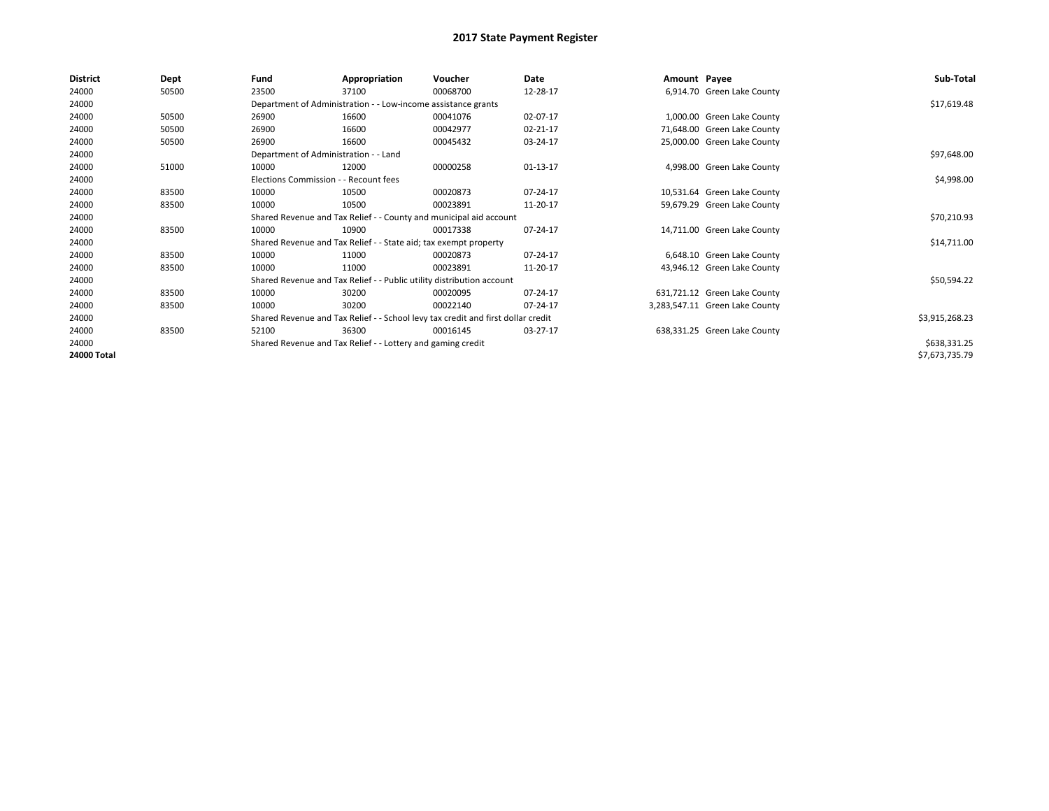| <b>District</b> | Dept  | Fund  | Appropriation                                                                    | Voucher  | Date     | Amount Payee |                                | Sub-Total      |  |  |
|-----------------|-------|-------|----------------------------------------------------------------------------------|----------|----------|--------------|--------------------------------|----------------|--|--|
| 24000           | 50500 | 23500 | 37100                                                                            | 00068700 | 12-28-17 |              | 6,914.70 Green Lake County     |                |  |  |
| 24000           |       |       | Department of Administration - - Low-income assistance grants                    |          |          |              |                                | \$17,619.48    |  |  |
| 24000           | 50500 | 26900 | 16600                                                                            | 00041076 | 02-07-17 |              | 1,000.00 Green Lake County     |                |  |  |
| 24000           | 50500 | 26900 | 16600                                                                            | 00042977 | 02-21-17 |              | 71,648.00 Green Lake County    |                |  |  |
| 24000           | 50500 | 26900 | 16600                                                                            | 00045432 | 03-24-17 |              | 25,000.00 Green Lake County    |                |  |  |
| 24000           |       |       | Department of Administration - - Land                                            |          |          |              |                                |                |  |  |
| 24000           | 51000 | 10000 | 12000                                                                            | 00000258 | 01-13-17 |              | 4,998.00 Green Lake County     |                |  |  |
| 24000           |       |       | Elections Commission - - Recount fees                                            |          |          |              |                                |                |  |  |
| 24000           | 83500 | 10000 | 10500                                                                            | 00020873 | 07-24-17 |              | 10,531.64 Green Lake County    |                |  |  |
| 24000           | 83500 | 10000 | 10500                                                                            | 00023891 | 11-20-17 |              | 59,679.29 Green Lake County    |                |  |  |
| 24000           |       |       | Shared Revenue and Tax Relief - - County and municipal aid account               |          |          |              |                                |                |  |  |
| 24000           | 83500 | 10000 | 10900                                                                            | 00017338 | 07-24-17 |              | 14,711.00 Green Lake County    |                |  |  |
| 24000           |       |       | Shared Revenue and Tax Relief - - State aid; tax exempt property                 |          |          |              |                                | \$14,711.00    |  |  |
| 24000           | 83500 | 10000 | 11000                                                                            | 00020873 | 07-24-17 |              | 6,648.10 Green Lake County     |                |  |  |
| 24000           | 83500 | 10000 | 11000                                                                            | 00023891 | 11-20-17 |              | 43,946.12 Green Lake County    |                |  |  |
| 24000           |       |       | Shared Revenue and Tax Relief - - Public utility distribution account            |          |          |              |                                | \$50,594.22    |  |  |
| 24000           | 83500 | 10000 | 30200                                                                            | 00020095 | 07-24-17 |              | 631,721.12 Green Lake County   |                |  |  |
| 24000           | 83500 | 10000 | 30200                                                                            | 00022140 | 07-24-17 |              | 3,283,547.11 Green Lake County |                |  |  |
| 24000           |       |       | Shared Revenue and Tax Relief - - School levy tax credit and first dollar credit |          |          |              |                                | \$3,915,268.23 |  |  |
| 24000           | 83500 | 52100 | 36300                                                                            | 00016145 | 03-27-17 |              | 638,331.25 Green Lake County   |                |  |  |
| 24000           |       |       | Shared Revenue and Tax Relief - - Lottery and gaming credit                      |          |          |              |                                | \$638,331.25   |  |  |
| 24000 Total     |       |       |                                                                                  |          |          |              |                                | \$7,673,735.79 |  |  |
|                 |       |       |                                                                                  |          |          |              |                                |                |  |  |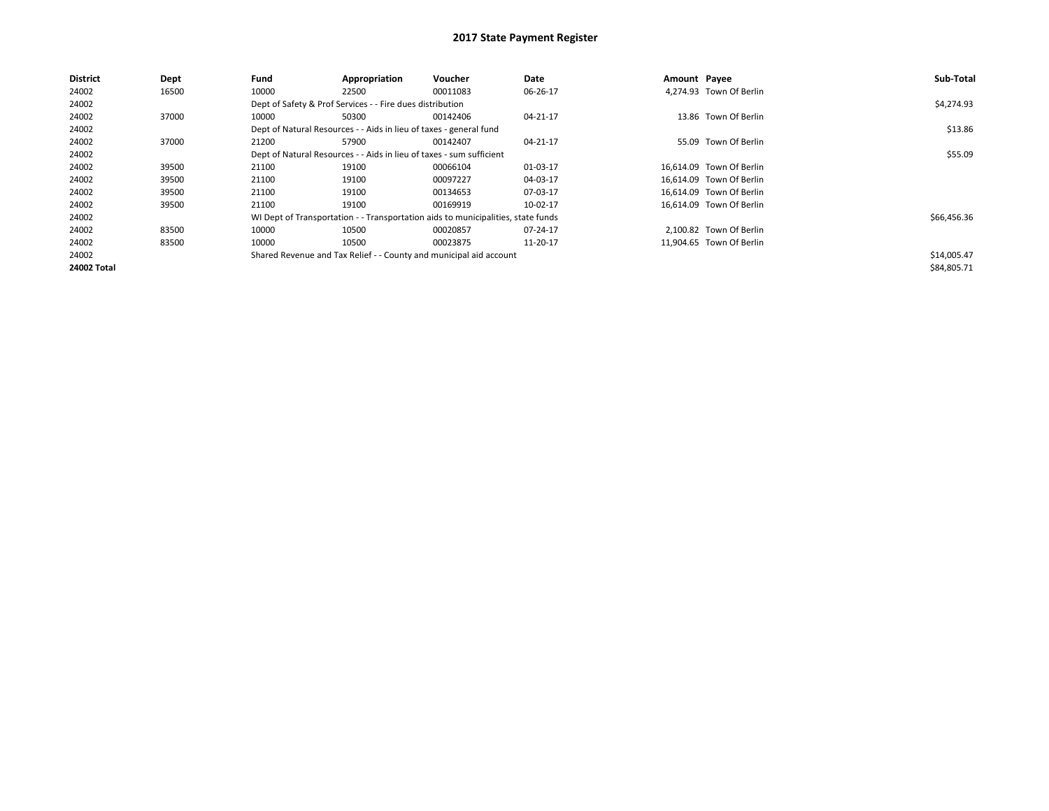| District    | Dept  | Fund  | Appropriation                                                                    | Voucher  | Date     | Amount Payee |                          | Sub-Total   |
|-------------|-------|-------|----------------------------------------------------------------------------------|----------|----------|--------------|--------------------------|-------------|
| 24002       | 16500 | 10000 | 22500                                                                            | 00011083 | 06-26-17 |              | 4,274.93 Town Of Berlin  |             |
| 24002       |       |       | Dept of Safety & Prof Services - - Fire dues distribution                        |          |          |              |                          | \$4,274.93  |
| 24002       | 37000 | 10000 | 50300                                                                            | 00142406 | 04-21-17 |              | 13.86 Town Of Berlin     |             |
| 24002       |       |       | Dept of Natural Resources - - Aids in lieu of taxes - general fund               |          |          |              |                          | \$13.86     |
| 24002       | 37000 | 21200 | 57900                                                                            | 00142407 | 04-21-17 |              | 55.09 Town Of Berlin     |             |
| 24002       |       |       | Dept of Natural Resources - - Aids in lieu of taxes - sum sufficient             |          |          |              |                          | \$55.09     |
| 24002       | 39500 | 21100 | 19100                                                                            | 00066104 | 01-03-17 |              | 16,614.09 Town Of Berlin |             |
| 24002       | 39500 | 21100 | 19100                                                                            | 00097227 | 04-03-17 |              | 16.614.09 Town Of Berlin |             |
| 24002       | 39500 | 21100 | 19100                                                                            | 00134653 | 07-03-17 |              | 16,614.09 Town Of Berlin |             |
| 24002       | 39500 | 21100 | 19100                                                                            | 00169919 | 10-02-17 |              | 16,614.09 Town Of Berlin |             |
| 24002       |       |       | WI Dept of Transportation - - Transportation aids to municipalities, state funds |          |          |              |                          | \$66,456.36 |
| 24002       | 83500 | 10000 | 10500                                                                            | 00020857 | 07-24-17 |              | 2,100.82 Town Of Berlin  |             |
| 24002       | 83500 | 10000 | 10500                                                                            | 00023875 | 11-20-17 |              | 11.904.65 Town Of Berlin |             |
| 24002       |       |       | Shared Revenue and Tax Relief - - County and municipal aid account               |          |          |              |                          | \$14,005.47 |
| 24002 Total |       |       |                                                                                  |          |          |              |                          | \$84,805.71 |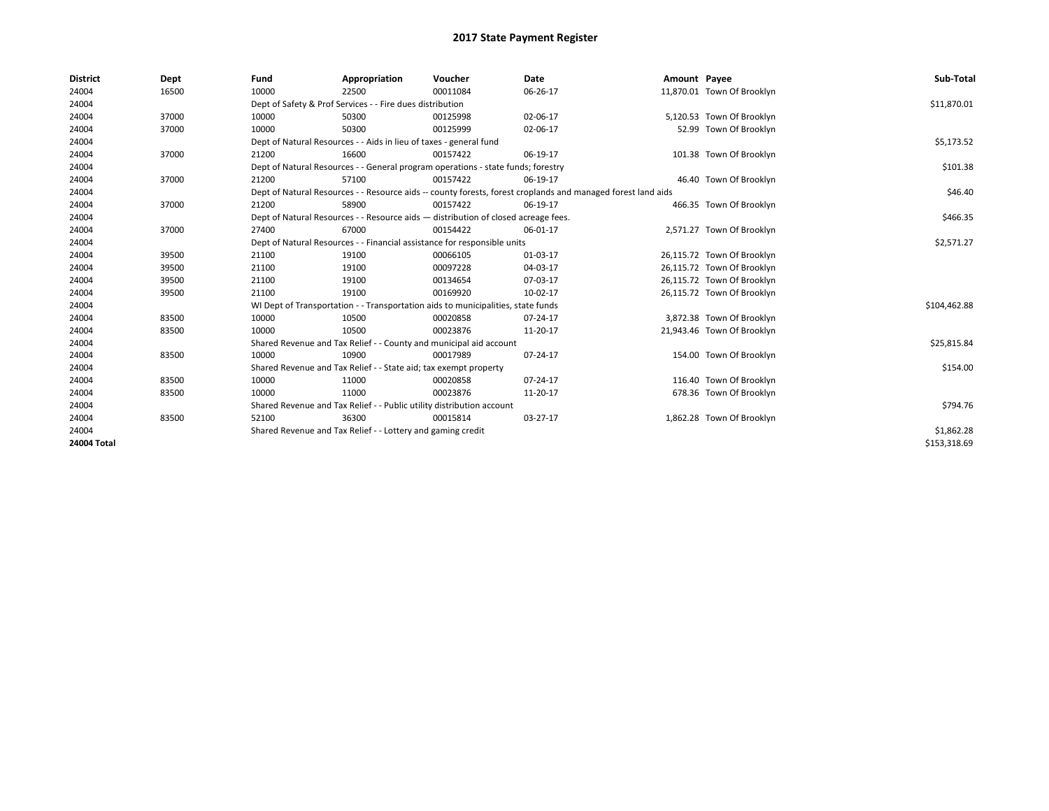| <b>District</b>    | Dept  | Fund                                                                             | Appropriation                                                                      | Voucher  | Date                                                                                                         | Amount Payee |                            | Sub-Total    |
|--------------------|-------|----------------------------------------------------------------------------------|------------------------------------------------------------------------------------|----------|--------------------------------------------------------------------------------------------------------------|--------------|----------------------------|--------------|
| 24004              | 16500 | 10000                                                                            | 22500                                                                              | 00011084 | 06-26-17                                                                                                     |              | 11,870.01 Town Of Brooklyn |              |
| 24004              |       |                                                                                  | Dept of Safety & Prof Services - - Fire dues distribution                          |          |                                                                                                              |              |                            | \$11,870.01  |
| 24004              | 37000 | 10000                                                                            | 50300                                                                              | 00125998 | 02-06-17                                                                                                     |              | 5,120.53 Town Of Brooklyn  |              |
| 24004              | 37000 | 10000                                                                            | 50300                                                                              | 00125999 | 02-06-17                                                                                                     |              | 52.99 Town Of Brooklyn     |              |
| 24004              |       |                                                                                  | Dept of Natural Resources - - Aids in lieu of taxes - general fund                 |          |                                                                                                              |              |                            | \$5,173.52   |
| 24004              | 37000 | 21200                                                                            | 16600                                                                              | 00157422 | 06-19-17                                                                                                     |              | 101.38 Town Of Brooklyn    |              |
| 24004              |       | Dept of Natural Resources - - General program operations - state funds; forestry | \$101.38                                                                           |          |                                                                                                              |              |                            |              |
| 24004              | 37000 | 21200                                                                            | 57100                                                                              | 00157422 | 06-19-17                                                                                                     |              | 46.40 Town Of Brooklyn     |              |
| 24004              |       |                                                                                  |                                                                                    |          | Dept of Natural Resources - - Resource aids -- county forests, forest croplands and managed forest land aids |              |                            | \$46.40      |
| 24004              | 37000 | 21200                                                                            | 58900                                                                              | 00157422 | 06-19-17                                                                                                     |              | 466.35 Town Of Brooklyn    |              |
| 24004              |       |                                                                                  | Dept of Natural Resources - - Resource aids - distribution of closed acreage fees. |          |                                                                                                              |              |                            | \$466.35     |
| 24004              | 37000 | 27400                                                                            | 67000                                                                              | 00154422 | 06-01-17                                                                                                     |              | 2,571.27 Town Of Brooklyn  |              |
| 24004              |       | Dept of Natural Resources - - Financial assistance for responsible units         | \$2,571.27                                                                         |          |                                                                                                              |              |                            |              |
| 24004              | 39500 | 21100                                                                            | 19100                                                                              | 00066105 | 01-03-17                                                                                                     |              | 26,115.72 Town Of Brooklyn |              |
| 24004              | 39500 | 21100                                                                            | 19100                                                                              | 00097228 | 04-03-17                                                                                                     |              | 26,115.72 Town Of Brooklyn |              |
| 24004              | 39500 | 21100                                                                            | 19100                                                                              | 00134654 | 07-03-17                                                                                                     |              | 26,115.72 Town Of Brooklyn |              |
| 24004              | 39500 | 21100                                                                            | 19100                                                                              | 00169920 | 10-02-17                                                                                                     |              | 26,115.72 Town Of Brooklyn |              |
| 24004              |       |                                                                                  | WI Dept of Transportation - - Transportation aids to municipalities, state funds   |          |                                                                                                              |              |                            | \$104,462.88 |
| 24004              | 83500 | 10000                                                                            | 10500                                                                              | 00020858 | 07-24-17                                                                                                     |              | 3,872.38 Town Of Brooklyn  |              |
| 24004              | 83500 | 10000                                                                            | 10500                                                                              | 00023876 | 11-20-17                                                                                                     |              | 21,943.46 Town Of Brooklyn |              |
| 24004              |       |                                                                                  | Shared Revenue and Tax Relief - - County and municipal aid account                 |          |                                                                                                              |              |                            | \$25,815.84  |
| 24004              | 83500 | 10000                                                                            | 10900                                                                              | 00017989 | 07-24-17                                                                                                     |              | 154.00 Town Of Brooklyn    |              |
| 24004              |       |                                                                                  | Shared Revenue and Tax Relief - - State aid; tax exempt property                   |          |                                                                                                              |              |                            | \$154.00     |
| 24004              | 83500 | 10000                                                                            | 11000                                                                              | 00020858 | 07-24-17                                                                                                     |              | 116.40 Town Of Brooklyn    |              |
| 24004              | 83500 | 10000                                                                            | 11000                                                                              | 00023876 | 11-20-17                                                                                                     |              | 678.36 Town Of Brooklyn    |              |
| 24004              |       |                                                                                  | Shared Revenue and Tax Relief - - Public utility distribution account              |          |                                                                                                              |              |                            | \$794.76     |
| 24004              | 83500 | 52100                                                                            | 36300                                                                              | 00015814 | 03-27-17                                                                                                     |              | 1,862.28 Town Of Brooklyn  |              |
| 24004              |       |                                                                                  | Shared Revenue and Tax Relief - - Lottery and gaming credit                        |          |                                                                                                              |              |                            | \$1,862.28   |
| <b>24004 Total</b> |       |                                                                                  |                                                                                    |          |                                                                                                              |              |                            | \$153,318.69 |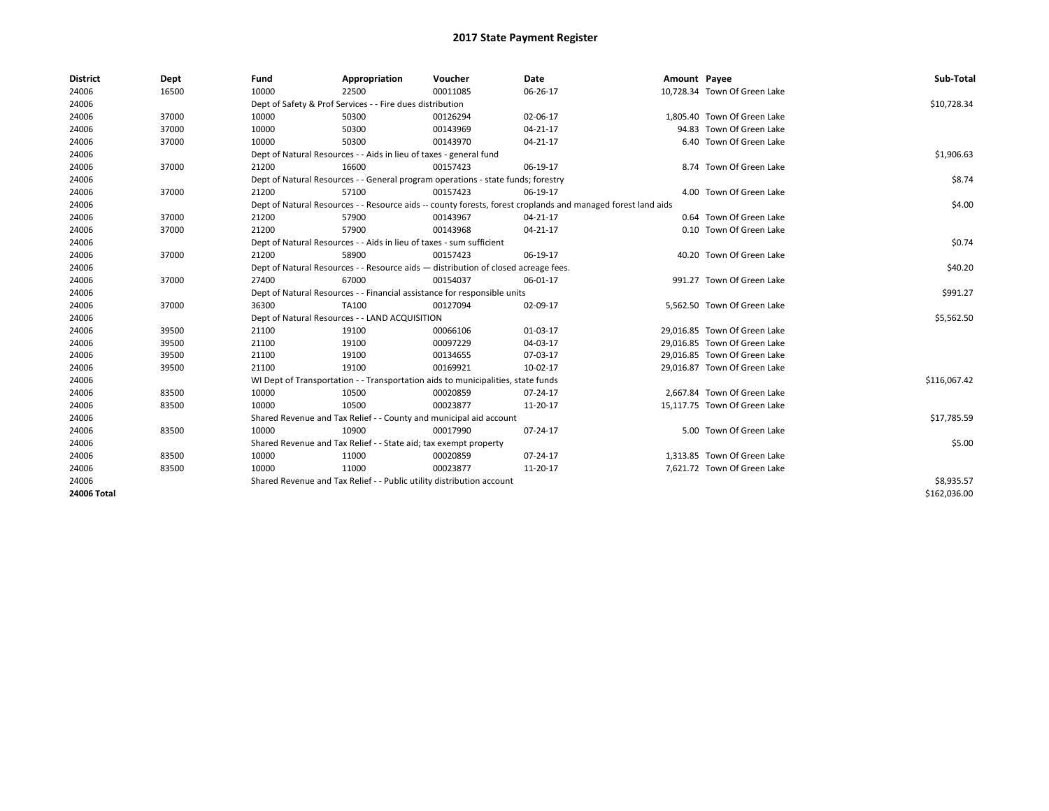| <b>District</b> | Dept  | Fund  | Appropriation                                                                                                | Voucher  | Date     | Amount Payee |                              | Sub-Total    |  |  |
|-----------------|-------|-------|--------------------------------------------------------------------------------------------------------------|----------|----------|--------------|------------------------------|--------------|--|--|
| 24006           | 16500 | 10000 | 22500                                                                                                        | 00011085 | 06-26-17 |              | 10,728.34 Town Of Green Lake |              |  |  |
| 24006           |       |       | Dept of Safety & Prof Services - - Fire dues distribution                                                    |          |          |              |                              | \$10,728.34  |  |  |
| 24006           | 37000 | 10000 | 50300                                                                                                        | 00126294 | 02-06-17 |              | 1,805.40 Town Of Green Lake  |              |  |  |
| 24006           | 37000 | 10000 | 50300                                                                                                        | 00143969 | 04-21-17 |              | 94.83 Town Of Green Lake     |              |  |  |
| 24006           | 37000 | 10000 | 50300                                                                                                        | 00143970 | 04-21-17 |              | 6.40 Town Of Green Lake      |              |  |  |
| 24006           |       |       | Dept of Natural Resources - - Aids in lieu of taxes - general fund                                           |          |          |              |                              | \$1,906.63   |  |  |
| 24006           | 37000 | 21200 | 16600                                                                                                        | 00157423 | 06-19-17 |              | 8.74 Town Of Green Lake      |              |  |  |
| 24006           |       |       | Dept of Natural Resources - - General program operations - state funds; forestry                             |          |          |              |                              | \$8.74       |  |  |
| 24006           | 37000 | 21200 | 57100                                                                                                        | 00157423 | 06-19-17 |              | 4.00 Town Of Green Lake      |              |  |  |
| 24006           |       |       | Dept of Natural Resources - - Resource aids -- county forests, forest croplands and managed forest land aids |          |          |              |                              |              |  |  |
| 24006           | 37000 | 21200 | 57900                                                                                                        | 00143967 | 04-21-17 |              | 0.64 Town Of Green Lake      |              |  |  |
| 24006           | 37000 | 21200 | 57900                                                                                                        | 00143968 | 04-21-17 |              | 0.10 Town Of Green Lake      |              |  |  |
| 24006           |       |       | Dept of Natural Resources - - Aids in lieu of taxes - sum sufficient                                         |          |          |              |                              |              |  |  |
| 24006           | 37000 | 21200 | 58900                                                                                                        | 00157423 | 06-19-17 |              | 40.20 Town Of Green Lake     |              |  |  |
| 24006           |       |       | Dept of Natural Resources - - Resource aids - distribution of closed acreage fees.                           |          |          |              |                              |              |  |  |
| 24006           | 37000 | 27400 | 67000                                                                                                        | 00154037 | 06-01-17 |              | 991.27 Town Of Green Lake    |              |  |  |
| 24006           |       |       | Dept of Natural Resources - - Financial assistance for responsible units                                     |          |          |              |                              |              |  |  |
| 24006           | 37000 | 36300 | TA100                                                                                                        | 00127094 | 02-09-17 |              | 5,562.50 Town Of Green Lake  |              |  |  |
| 24006           |       |       | Dept of Natural Resources - - LAND ACQUISITION                                                               |          |          |              |                              | \$5,562.50   |  |  |
| 24006           | 39500 | 21100 | 19100                                                                                                        | 00066106 | 01-03-17 |              | 29,016.85 Town Of Green Lake |              |  |  |
| 24006           | 39500 | 21100 | 19100                                                                                                        | 00097229 | 04-03-17 |              | 29.016.85 Town Of Green Lake |              |  |  |
| 24006           | 39500 | 21100 | 19100                                                                                                        | 00134655 | 07-03-17 |              | 29,016.85 Town Of Green Lake |              |  |  |
| 24006           | 39500 | 21100 | 19100                                                                                                        | 00169921 | 10-02-17 |              | 29,016.87 Town Of Green Lake |              |  |  |
| 24006           |       |       | WI Dept of Transportation - - Transportation aids to municipalities, state funds                             |          |          |              |                              | \$116,067.42 |  |  |
| 24006           | 83500 | 10000 | 10500                                                                                                        | 00020859 | 07-24-17 |              | 2,667.84 Town Of Green Lake  |              |  |  |
| 24006           | 83500 | 10000 | 10500                                                                                                        | 00023877 | 11-20-17 |              | 15,117.75 Town Of Green Lake |              |  |  |
| 24006           |       |       | Shared Revenue and Tax Relief - - County and municipal aid account                                           |          |          |              |                              | \$17,785.59  |  |  |
| 24006           | 83500 | 10000 | 10900                                                                                                        | 00017990 | 07-24-17 |              | 5.00 Town Of Green Lake      |              |  |  |
| 24006           |       |       | Shared Revenue and Tax Relief - - State aid; tax exempt property                                             |          |          |              |                              | \$5.00       |  |  |
| 24006           | 83500 | 10000 | 11000                                                                                                        | 00020859 | 07-24-17 |              | 1.313.85 Town Of Green Lake  |              |  |  |
| 24006           | 83500 | 10000 | 11000                                                                                                        | 00023877 | 11-20-17 |              | 7,621.72 Town Of Green Lake  |              |  |  |
| 24006           |       |       | Shared Revenue and Tax Relief - - Public utility distribution account                                        |          |          |              |                              | \$8,935.57   |  |  |
| 24006 Total     |       |       |                                                                                                              |          |          |              |                              | \$162,036.00 |  |  |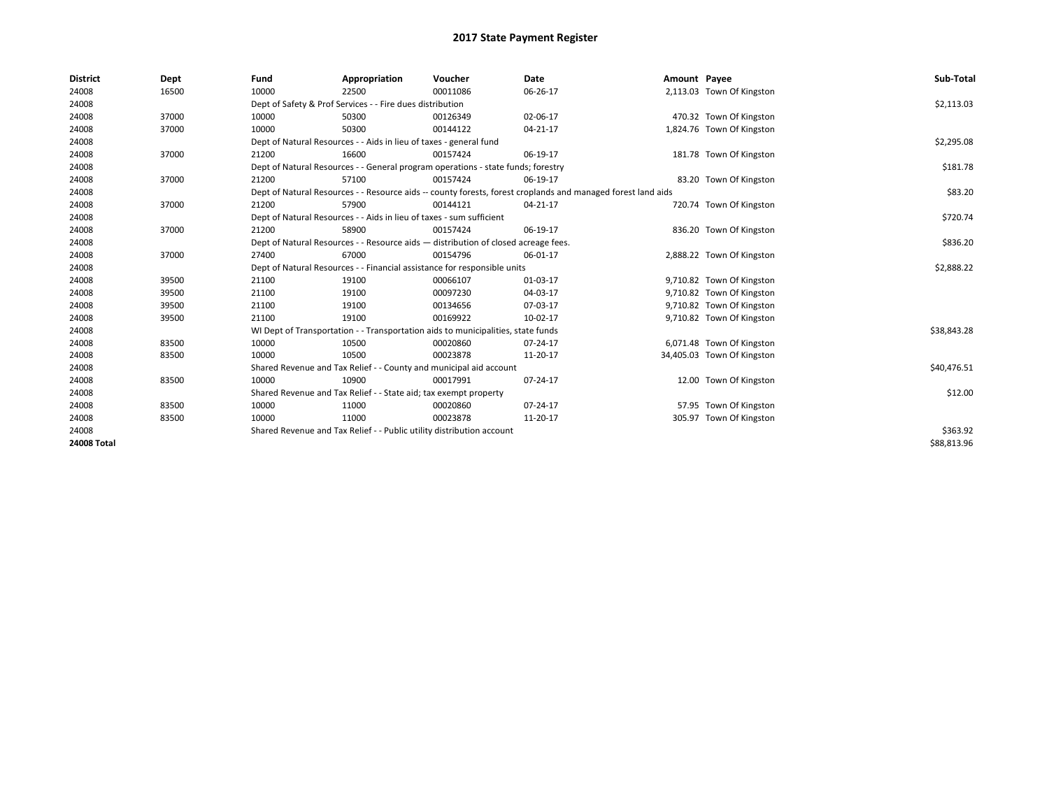| <b>District</b>    | Dept  | Fund                                                                               | Appropriation                                                                                                | Voucher  | Date     | Amount Payee |                            | Sub-Total   |  |  |
|--------------------|-------|------------------------------------------------------------------------------------|--------------------------------------------------------------------------------------------------------------|----------|----------|--------------|----------------------------|-------------|--|--|
| 24008              | 16500 | 10000                                                                              | 22500                                                                                                        | 00011086 | 06-26-17 |              | 2,113.03 Town Of Kingston  |             |  |  |
| 24008              |       |                                                                                    | Dept of Safety & Prof Services - - Fire dues distribution                                                    |          |          |              |                            | \$2,113.03  |  |  |
| 24008              | 37000 | 10000                                                                              | 50300                                                                                                        | 00126349 | 02-06-17 |              | 470.32 Town Of Kingston    |             |  |  |
| 24008              | 37000 | 10000                                                                              | 50300                                                                                                        | 00144122 | 04-21-17 |              | 1,824.76 Town Of Kingston  |             |  |  |
| 24008              |       |                                                                                    | Dept of Natural Resources - - Aids in lieu of taxes - general fund                                           |          |          |              |                            |             |  |  |
| 24008              | 37000 | 21200                                                                              | 16600                                                                                                        | 00157424 | 06-19-17 |              | 181.78 Town Of Kingston    |             |  |  |
| 24008              |       |                                                                                    | Dept of Natural Resources - - General program operations - state funds; forestry                             |          |          |              |                            |             |  |  |
| 24008              | 37000 | 21200                                                                              | 57100                                                                                                        | 00157424 | 06-19-17 |              | 83.20 Town Of Kingston     |             |  |  |
| 24008              |       |                                                                                    | Dept of Natural Resources - - Resource aids -- county forests, forest croplands and managed forest land aids |          |          |              |                            |             |  |  |
| 24008              | 37000 | 21200                                                                              | 57900                                                                                                        | 00144121 | 04-21-17 |              | 720.74 Town Of Kingston    |             |  |  |
| 24008              |       |                                                                                    | Dept of Natural Resources - - Aids in lieu of taxes - sum sufficient                                         |          |          |              |                            |             |  |  |
| 24008              | 37000 | 21200                                                                              | 58900                                                                                                        | 00157424 | 06-19-17 |              | 836.20 Town Of Kingston    |             |  |  |
| 24008              |       | Dept of Natural Resources - - Resource aids - distribution of closed acreage fees. | \$836.20                                                                                                     |          |          |              |                            |             |  |  |
| 24008              | 37000 | 27400                                                                              | 67000                                                                                                        | 00154796 | 06-01-17 |              | 2,888.22 Town Of Kingston  |             |  |  |
| 24008              |       |                                                                                    | Dept of Natural Resources - - Financial assistance for responsible units                                     |          |          |              |                            | \$2,888.22  |  |  |
| 24008              | 39500 | 21100                                                                              | 19100                                                                                                        | 00066107 | 01-03-17 |              | 9,710.82 Town Of Kingston  |             |  |  |
| 24008              | 39500 | 21100                                                                              | 19100                                                                                                        | 00097230 | 04-03-17 |              | 9,710.82 Town Of Kingston  |             |  |  |
| 24008              | 39500 | 21100                                                                              | 19100                                                                                                        | 00134656 | 07-03-17 |              | 9,710.82 Town Of Kingston  |             |  |  |
| 24008              | 39500 | 21100                                                                              | 19100                                                                                                        | 00169922 | 10-02-17 |              | 9,710.82 Town Of Kingston  |             |  |  |
| 24008              |       |                                                                                    | WI Dept of Transportation - - Transportation aids to municipalities, state funds                             |          |          |              |                            | \$38,843.28 |  |  |
| 24008              | 83500 | 10000                                                                              | 10500                                                                                                        | 00020860 | 07-24-17 |              | 6,071.48 Town Of Kingston  |             |  |  |
| 24008              | 83500 | 10000                                                                              | 10500                                                                                                        | 00023878 | 11-20-17 |              | 34,405.03 Town Of Kingston |             |  |  |
| 24008              |       |                                                                                    | Shared Revenue and Tax Relief - - County and municipal aid account                                           |          |          |              |                            | \$40,476.51 |  |  |
| 24008              | 83500 | 10000                                                                              | 10900                                                                                                        | 00017991 | 07-24-17 |              | 12.00 Town Of Kingston     |             |  |  |
| 24008              |       |                                                                                    | Shared Revenue and Tax Relief - - State aid; tax exempt property                                             |          |          |              |                            | \$12.00     |  |  |
| 24008              | 83500 | 10000                                                                              | 11000                                                                                                        | 00020860 | 07-24-17 |              | 57.95 Town Of Kingston     |             |  |  |
| 24008              | 83500 | 10000                                                                              | 11000                                                                                                        | 00023878 | 11-20-17 |              | 305.97 Town Of Kingston    |             |  |  |
| 24008              |       | Shared Revenue and Tax Relief - - Public utility distribution account              |                                                                                                              | \$363.92 |          |              |                            |             |  |  |
| <b>24008 Total</b> |       |                                                                                    |                                                                                                              |          |          |              |                            | \$88,813.96 |  |  |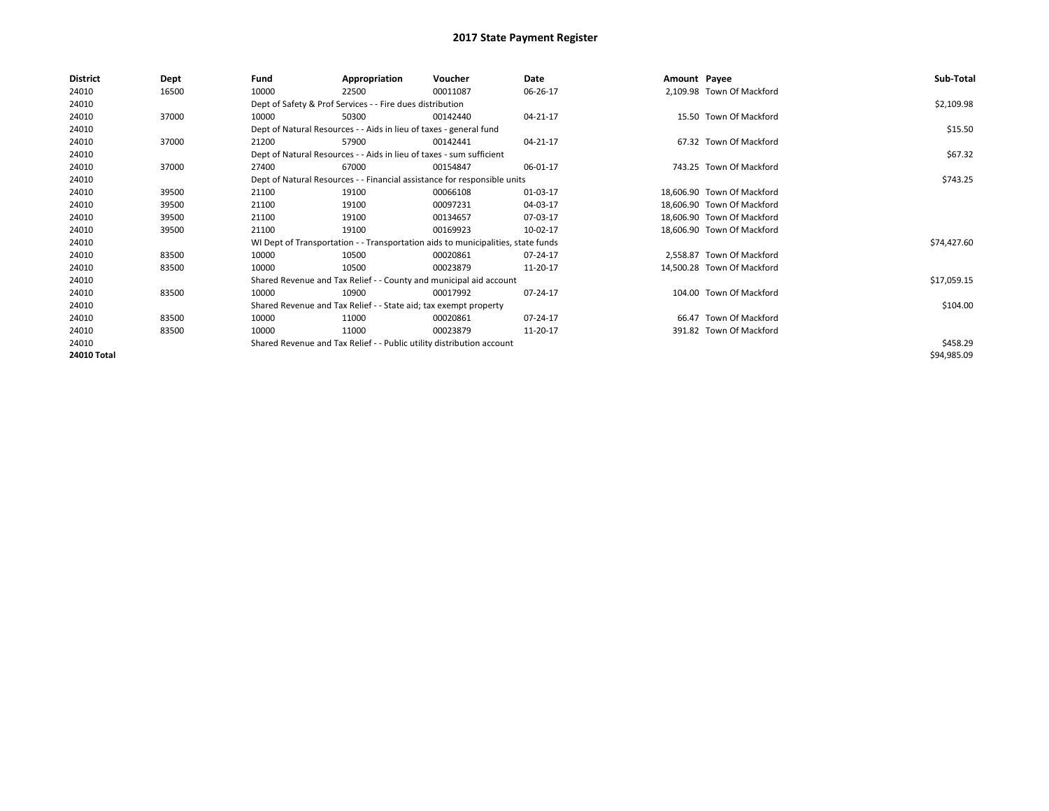| <b>District</b> | Dept  | Fund                                                                 | Appropriation                                                                    | Voucher  | Date     | Amount Payee |                            | Sub-Total   |
|-----------------|-------|----------------------------------------------------------------------|----------------------------------------------------------------------------------|----------|----------|--------------|----------------------------|-------------|
| 24010           | 16500 | 10000                                                                | 22500                                                                            | 00011087 | 06-26-17 |              | 2,109.98 Town Of Mackford  |             |
| 24010           |       |                                                                      | Dept of Safety & Prof Services - - Fire dues distribution                        |          |          |              |                            | \$2,109.98  |
| 24010           | 37000 | 10000                                                                | 50300                                                                            | 00142440 | 04-21-17 |              | 15.50 Town Of Mackford     |             |
| 24010           |       |                                                                      | Dept of Natural Resources - - Aids in lieu of taxes - general fund               |          |          |              |                            | \$15.50     |
| 24010           | 37000 | 21200                                                                | 57900                                                                            | 00142441 | 04-21-17 |              | 67.32 Town Of Mackford     |             |
| 24010           |       | Dept of Natural Resources - - Aids in lieu of taxes - sum sufficient |                                                                                  | \$67.32  |          |              |                            |             |
| 24010           | 37000 | 27400                                                                | 67000                                                                            | 00154847 | 06-01-17 |              | 743.25 Town Of Mackford    |             |
| 24010           |       |                                                                      | Dept of Natural Resources - - Financial assistance for responsible units         |          |          |              |                            | \$743.25    |
| 24010           | 39500 | 21100                                                                | 19100                                                                            | 00066108 | 01-03-17 |              | 18,606.90 Town Of Mackford |             |
| 24010           | 39500 | 21100                                                                | 19100                                                                            | 00097231 | 04-03-17 |              | 18,606.90 Town Of Mackford |             |
| 24010           | 39500 | 21100                                                                | 19100                                                                            | 00134657 | 07-03-17 |              | 18,606.90 Town Of Mackford |             |
| 24010           | 39500 | 21100                                                                | 19100                                                                            | 00169923 | 10-02-17 |              | 18,606.90 Town Of Mackford |             |
| 24010           |       |                                                                      | WI Dept of Transportation - - Transportation aids to municipalities, state funds |          |          |              |                            | \$74,427.60 |
| 24010           | 83500 | 10000                                                                | 10500                                                                            | 00020861 | 07-24-17 |              | 2,558.87 Town Of Mackford  |             |
| 24010           | 83500 | 10000                                                                | 10500                                                                            | 00023879 | 11-20-17 |              | 14,500.28 Town Of Mackford |             |
| 24010           |       |                                                                      | Shared Revenue and Tax Relief - - County and municipal aid account               |          |          |              |                            | \$17,059.15 |
| 24010           | 83500 | 10000                                                                | 10900                                                                            | 00017992 | 07-24-17 |              | 104.00 Town Of Mackford    |             |
| 24010           |       |                                                                      | Shared Revenue and Tax Relief - - State aid; tax exempt property                 |          |          |              |                            | \$104.00    |
| 24010           | 83500 | 10000                                                                | 11000                                                                            | 00020861 | 07-24-17 |              | 66.47 Town Of Mackford     |             |
| 24010           | 83500 | 10000                                                                | 11000                                                                            | 00023879 | 11-20-17 |              | 391.82 Town Of Mackford    |             |
| 24010           |       |                                                                      | Shared Revenue and Tax Relief - - Public utility distribution account            |          |          |              |                            | \$458.29    |
| 24010 Total     |       |                                                                      |                                                                                  |          |          |              |                            | \$94,985.09 |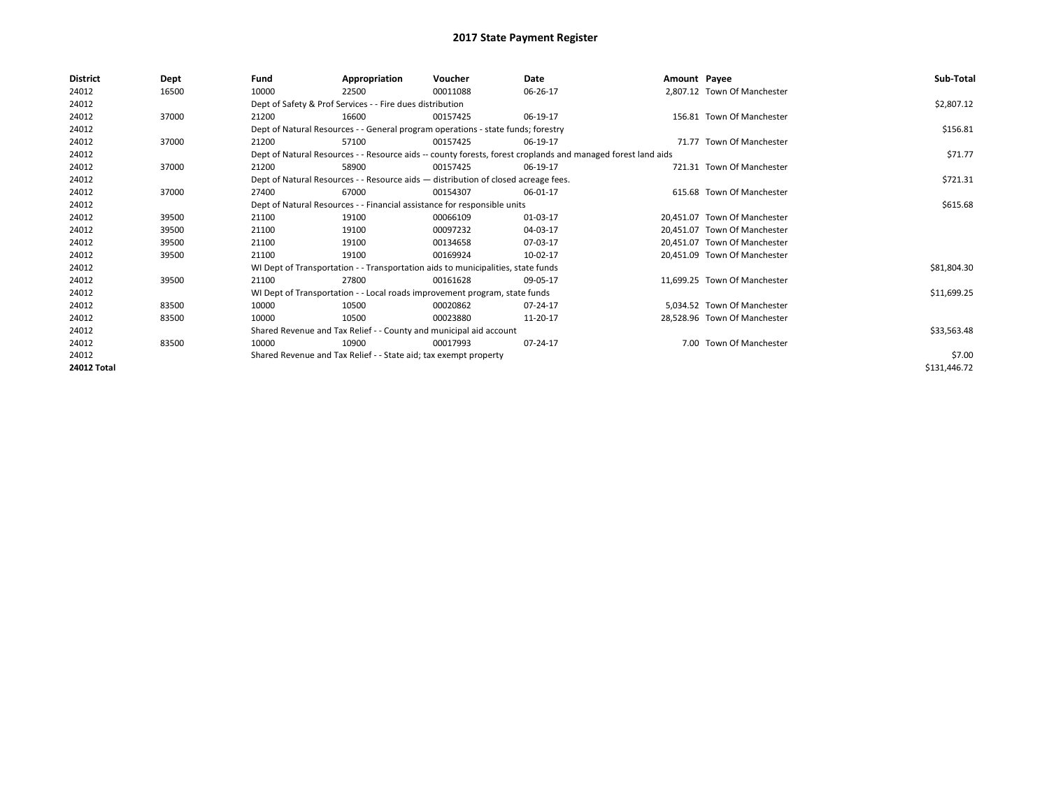| <b>District</b> | Dept  | Fund                                                                     | Appropriation                                                                      | Voucher  | Date                                                                                                         | Amount Payee |                              | Sub-Total    |
|-----------------|-------|--------------------------------------------------------------------------|------------------------------------------------------------------------------------|----------|--------------------------------------------------------------------------------------------------------------|--------------|------------------------------|--------------|
| 24012           | 16500 | 10000                                                                    | 22500                                                                              | 00011088 | 06-26-17                                                                                                     |              | 2,807.12 Town Of Manchester  |              |
| 24012           |       |                                                                          | Dept of Safety & Prof Services - - Fire dues distribution                          |          |                                                                                                              |              |                              | \$2,807.12   |
| 24012           | 37000 | 21200                                                                    | 16600                                                                              | 00157425 | 06-19-17                                                                                                     |              | 156.81 Town Of Manchester    |              |
| 24012           |       |                                                                          | Dept of Natural Resources - - General program operations - state funds; forestry   |          |                                                                                                              |              |                              | \$156.81     |
| 24012           | 37000 | 21200                                                                    | 57100                                                                              | 00157425 | 06-19-17                                                                                                     |              | 71.77 Town Of Manchester     |              |
| 24012           |       |                                                                          |                                                                                    |          | Dept of Natural Resources - - Resource aids -- county forests, forest croplands and managed forest land aids |              |                              | \$71.77      |
| 24012           | 37000 | 21200                                                                    | 58900                                                                              | 00157425 | 06-19-17                                                                                                     |              | 721.31 Town Of Manchester    |              |
| 24012           |       |                                                                          | Dept of Natural Resources - - Resource aids - distribution of closed acreage fees. |          |                                                                                                              |              |                              | \$721.31     |
| 24012           | 37000 | 27400                                                                    | 67000                                                                              | 00154307 | 06-01-17                                                                                                     |              | 615.68 Town Of Manchester    |              |
| 24012           |       | Dept of Natural Resources - - Financial assistance for responsible units |                                                                                    | \$615.68 |                                                                                                              |              |                              |              |
| 24012           | 39500 | 21100                                                                    | 19100                                                                              | 00066109 | 01-03-17                                                                                                     |              | 20.451.07 Town Of Manchester |              |
| 24012           | 39500 | 21100                                                                    | 19100                                                                              | 00097232 | 04-03-17                                                                                                     |              | 20.451.07 Town Of Manchester |              |
| 24012           | 39500 | 21100                                                                    | 19100                                                                              | 00134658 | 07-03-17                                                                                                     |              | 20.451.07 Town Of Manchester |              |
| 24012           | 39500 | 21100                                                                    | 19100                                                                              | 00169924 | 10-02-17                                                                                                     |              | 20,451.09 Town Of Manchester |              |
| 24012           |       |                                                                          | WI Dept of Transportation - - Transportation aids to municipalities, state funds   |          |                                                                                                              |              |                              | \$81,804.30  |
| 24012           | 39500 | 21100                                                                    | 27800                                                                              | 00161628 | 09-05-17                                                                                                     |              | 11,699.25 Town Of Manchester |              |
| 24012           |       |                                                                          | WI Dept of Transportation - - Local roads improvement program, state funds         |          |                                                                                                              |              |                              | \$11,699.25  |
| 24012           | 83500 | 10000                                                                    | 10500                                                                              | 00020862 | 07-24-17                                                                                                     |              | 5.034.52 Town Of Manchester  |              |
| 24012           | 83500 | 10000                                                                    | 10500                                                                              | 00023880 | 11-20-17                                                                                                     |              | 28,528.96 Town Of Manchester |              |
| 24012           |       |                                                                          | Shared Revenue and Tax Relief - - County and municipal aid account                 |          |                                                                                                              |              |                              | \$33,563.48  |
| 24012           | 83500 | 10000                                                                    | 10900                                                                              | 00017993 | 07-24-17                                                                                                     |              | 7.00 Town Of Manchester      |              |
| 24012           |       |                                                                          | Shared Revenue and Tax Relief - - State aid; tax exempt property                   |          |                                                                                                              |              |                              | \$7.00       |
| 24012 Total     |       |                                                                          |                                                                                    |          |                                                                                                              |              |                              | \$131,446.72 |
|                 |       |                                                                          |                                                                                    |          |                                                                                                              |              |                              |              |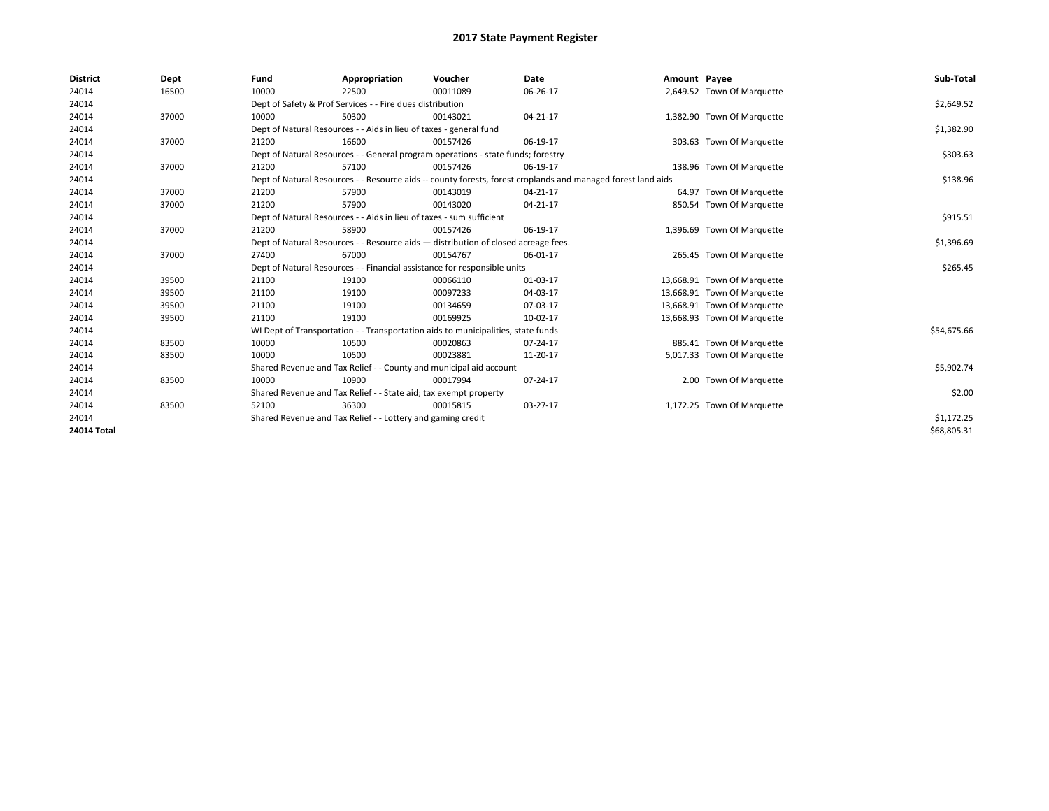| <b>District</b>    | Dept  | Fund  | Appropriation                                                                                                | Voucher  | Date     | Amount Payee |                             | Sub-Total   |  |  |  |
|--------------------|-------|-------|--------------------------------------------------------------------------------------------------------------|----------|----------|--------------|-----------------------------|-------------|--|--|--|
| 24014              | 16500 | 10000 | 22500                                                                                                        | 00011089 | 06-26-17 |              | 2,649.52 Town Of Marquette  |             |  |  |  |
| 24014              |       |       | Dept of Safety & Prof Services - - Fire dues distribution                                                    |          |          |              |                             | \$2,649.52  |  |  |  |
| 24014              | 37000 | 10000 | 50300                                                                                                        | 00143021 | 04-21-17 |              | 1,382.90 Town Of Marquette  |             |  |  |  |
| 24014              |       |       | Dept of Natural Resources - - Aids in lieu of taxes - general fund                                           |          |          |              |                             | \$1,382.90  |  |  |  |
| 24014              | 37000 | 21200 | 16600                                                                                                        | 00157426 | 06-19-17 |              | 303.63 Town Of Marquette    |             |  |  |  |
| 24014              |       |       | Dept of Natural Resources - - General program operations - state funds; forestry                             |          |          |              |                             | \$303.63    |  |  |  |
| 24014              | 37000 | 21200 | 57100                                                                                                        | 00157426 | 06-19-17 |              | 138.96 Town Of Marquette    |             |  |  |  |
| 24014              |       |       | Dept of Natural Resources - - Resource aids -- county forests, forest croplands and managed forest land aids |          |          |              |                             |             |  |  |  |
| 24014              | 37000 | 21200 | 57900                                                                                                        | 00143019 | 04-21-17 |              | 64.97 Town Of Marquette     |             |  |  |  |
| 24014              | 37000 | 21200 | 57900                                                                                                        | 00143020 | 04-21-17 |              | 850.54 Town Of Marquette    |             |  |  |  |
| 24014              |       |       | Dept of Natural Resources - - Aids in lieu of taxes - sum sufficient                                         |          |          |              |                             | \$915.51    |  |  |  |
| 24014              | 37000 | 21200 | 58900                                                                                                        | 00157426 | 06-19-17 |              | 1,396.69 Town Of Marquette  |             |  |  |  |
| 24014              |       |       | Dept of Natural Resources - - Resource aids - distribution of closed acreage fees.                           |          |          |              |                             |             |  |  |  |
| 24014              | 37000 | 27400 | 67000                                                                                                        | 00154767 | 06-01-17 |              | 265.45 Town Of Marquette    |             |  |  |  |
| 24014              |       |       | Dept of Natural Resources - - Financial assistance for responsible units                                     |          |          |              |                             | \$265.45    |  |  |  |
| 24014              | 39500 | 21100 | 19100                                                                                                        | 00066110 | 01-03-17 |              | 13,668.91 Town Of Marquette |             |  |  |  |
| 24014              | 39500 | 21100 | 19100                                                                                                        | 00097233 | 04-03-17 |              | 13,668.91 Town Of Marquette |             |  |  |  |
| 24014              | 39500 | 21100 | 19100                                                                                                        | 00134659 | 07-03-17 |              | 13,668.91 Town Of Marquette |             |  |  |  |
| 24014              | 39500 | 21100 | 19100                                                                                                        | 00169925 | 10-02-17 |              | 13,668.93 Town Of Marquette |             |  |  |  |
| 24014              |       |       | WI Dept of Transportation - - Transportation aids to municipalities, state funds                             |          |          |              |                             | \$54,675.66 |  |  |  |
| 24014              | 83500 | 10000 | 10500                                                                                                        | 00020863 | 07-24-17 |              | 885.41 Town Of Marquette    |             |  |  |  |
| 24014              | 83500 | 10000 | 10500                                                                                                        | 00023881 | 11-20-17 |              | 5,017.33 Town Of Marquette  |             |  |  |  |
| 24014              |       |       | Shared Revenue and Tax Relief - - County and municipal aid account                                           |          |          |              |                             | \$5,902.74  |  |  |  |
| 24014              | 83500 | 10000 | 10900                                                                                                        | 00017994 | 07-24-17 |              | 2.00 Town Of Marquette      |             |  |  |  |
| 24014              |       |       | Shared Revenue and Tax Relief - - State aid; tax exempt property                                             |          |          |              |                             | \$2.00      |  |  |  |
| 24014              | 83500 | 52100 | 36300                                                                                                        | 00015815 | 03-27-17 |              | 1,172.25 Town Of Marquette  |             |  |  |  |
| 24014              |       |       | Shared Revenue and Tax Relief - - Lottery and gaming credit                                                  |          |          |              |                             | \$1,172.25  |  |  |  |
| <b>24014 Total</b> |       |       |                                                                                                              |          |          |              |                             | \$68,805.31 |  |  |  |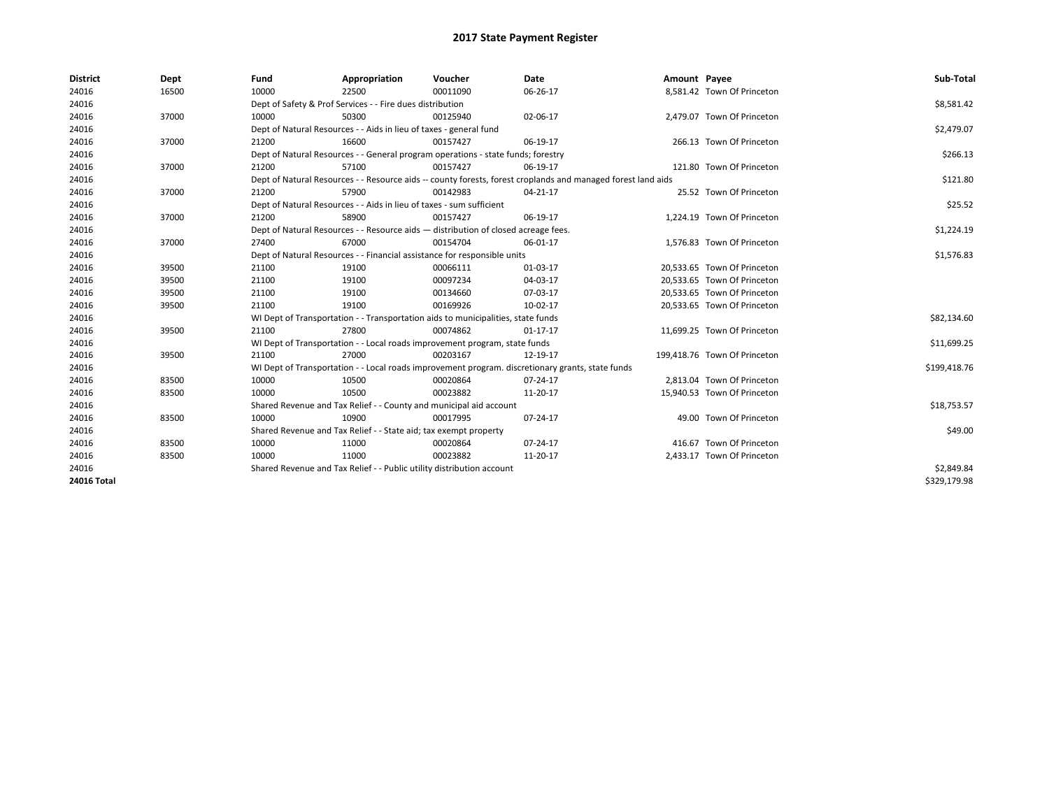| <b>District</b>    | Dept  | Fund                                                             | Appropriation                                                                                                | Voucher  | Date                                                                                             | Amount Payee |                              | Sub-Total    |  |  |
|--------------------|-------|------------------------------------------------------------------|--------------------------------------------------------------------------------------------------------------|----------|--------------------------------------------------------------------------------------------------|--------------|------------------------------|--------------|--|--|
| 24016              | 16500 | 10000                                                            | 22500                                                                                                        | 00011090 | 06-26-17                                                                                         |              | 8,581.42 Town Of Princeton   |              |  |  |
| 24016              |       |                                                                  | Dept of Safety & Prof Services - - Fire dues distribution                                                    |          |                                                                                                  |              |                              | \$8,581.42   |  |  |
| 24016              | 37000 | 10000                                                            | 50300                                                                                                        | 00125940 | 02-06-17                                                                                         |              | 2,479.07 Town Of Princeton   |              |  |  |
| 24016              |       |                                                                  | Dept of Natural Resources - - Aids in lieu of taxes - general fund                                           |          |                                                                                                  |              |                              | \$2,479.07   |  |  |
| 24016              | 37000 | 21200                                                            | 16600                                                                                                        | 00157427 | 06-19-17                                                                                         |              | 266.13 Town Of Princeton     |              |  |  |
| 24016              |       |                                                                  | Dept of Natural Resources - - General program operations - state funds; forestry                             |          |                                                                                                  |              |                              |              |  |  |
| 24016              | 37000 | 21200                                                            | 57100                                                                                                        | 00157427 | 06-19-17                                                                                         |              | 121.80 Town Of Princeton     |              |  |  |
| 24016              |       |                                                                  | Dept of Natural Resources - - Resource aids -- county forests, forest croplands and managed forest land aids |          |                                                                                                  |              |                              |              |  |  |
| 24016              | 37000 | 21200                                                            | 57900                                                                                                        | 00142983 | 04-21-17                                                                                         |              | 25.52 Town Of Princeton      |              |  |  |
| 24016              |       |                                                                  | Dept of Natural Resources - - Aids in lieu of taxes - sum sufficient                                         |          |                                                                                                  |              |                              | \$25.52      |  |  |
| 24016              | 37000 | 21200                                                            | 58900                                                                                                        | 00157427 | 06-19-17                                                                                         |              | 1,224.19 Town Of Princeton   |              |  |  |
| 24016              |       |                                                                  | Dept of Natural Resources - - Resource aids - distribution of closed acreage fees.                           |          |                                                                                                  |              |                              |              |  |  |
| 24016              | 37000 | 27400                                                            | 67000                                                                                                        | 00154704 | 06-01-17                                                                                         |              | 1,576.83 Town Of Princeton   |              |  |  |
| 24016              |       |                                                                  | Dept of Natural Resources - - Financial assistance for responsible units                                     |          |                                                                                                  |              |                              |              |  |  |
| 24016              | 39500 | 21100                                                            | 19100                                                                                                        | 00066111 | 01-03-17                                                                                         |              | 20,533.65 Town Of Princeton  |              |  |  |
| 24016              | 39500 | 21100                                                            | 19100                                                                                                        | 00097234 | 04-03-17                                                                                         |              | 20.533.65 Town Of Princeton  |              |  |  |
| 24016              | 39500 | 21100                                                            | 19100                                                                                                        | 00134660 | 07-03-17                                                                                         |              | 20,533.65 Town Of Princeton  |              |  |  |
| 24016              | 39500 | 21100                                                            | 19100                                                                                                        | 00169926 | 10-02-17                                                                                         |              | 20,533.65 Town Of Princeton  |              |  |  |
| 24016              |       |                                                                  | WI Dept of Transportation - - Transportation aids to municipalities, state funds                             |          |                                                                                                  |              |                              | \$82,134.60  |  |  |
| 24016              | 39500 | 21100                                                            | 27800                                                                                                        | 00074862 | $01 - 17 - 17$                                                                                   |              | 11,699.25 Town Of Princeton  |              |  |  |
| 24016              |       |                                                                  | WI Dept of Transportation - - Local roads improvement program, state funds                                   |          |                                                                                                  |              |                              | \$11,699.25  |  |  |
| 24016              | 39500 | 21100                                                            | 27000                                                                                                        | 00203167 | 12-19-17                                                                                         |              | 199,418.76 Town Of Princeton |              |  |  |
| 24016              |       |                                                                  |                                                                                                              |          | WI Dept of Transportation - - Local roads improvement program. discretionary grants, state funds |              |                              | \$199,418.76 |  |  |
| 24016              | 83500 | 10000                                                            | 10500                                                                                                        | 00020864 | $07 - 24 - 17$                                                                                   |              | 2,813.04 Town Of Princeton   |              |  |  |
| 24016              | 83500 | 10000                                                            | 10500                                                                                                        | 00023882 | 11-20-17                                                                                         |              | 15,940.53 Town Of Princeton  |              |  |  |
| 24016              |       |                                                                  | Shared Revenue and Tax Relief - - County and municipal aid account                                           |          |                                                                                                  |              |                              | \$18,753.57  |  |  |
| 24016              | 83500 | 10000                                                            | 10900                                                                                                        | 00017995 | 07-24-17                                                                                         |              | 49.00 Town Of Princeton      |              |  |  |
| 24016              |       | Shared Revenue and Tax Relief - - State aid; tax exempt property |                                                                                                              | \$49.00  |                                                                                                  |              |                              |              |  |  |
| 24016              | 83500 | 10000                                                            | 11000                                                                                                        | 00020864 | $07 - 24 - 17$                                                                                   |              | 416.67 Town Of Princeton     |              |  |  |
| 24016              | 83500 | 10000                                                            | 11000                                                                                                        | 00023882 | 11-20-17                                                                                         |              | 2,433.17 Town Of Princeton   |              |  |  |
| 24016              |       |                                                                  | Shared Revenue and Tax Relief - - Public utility distribution account                                        |          |                                                                                                  |              |                              | \$2,849.84   |  |  |
| <b>24016 Total</b> |       |                                                                  |                                                                                                              |          |                                                                                                  |              |                              | \$329,179.98 |  |  |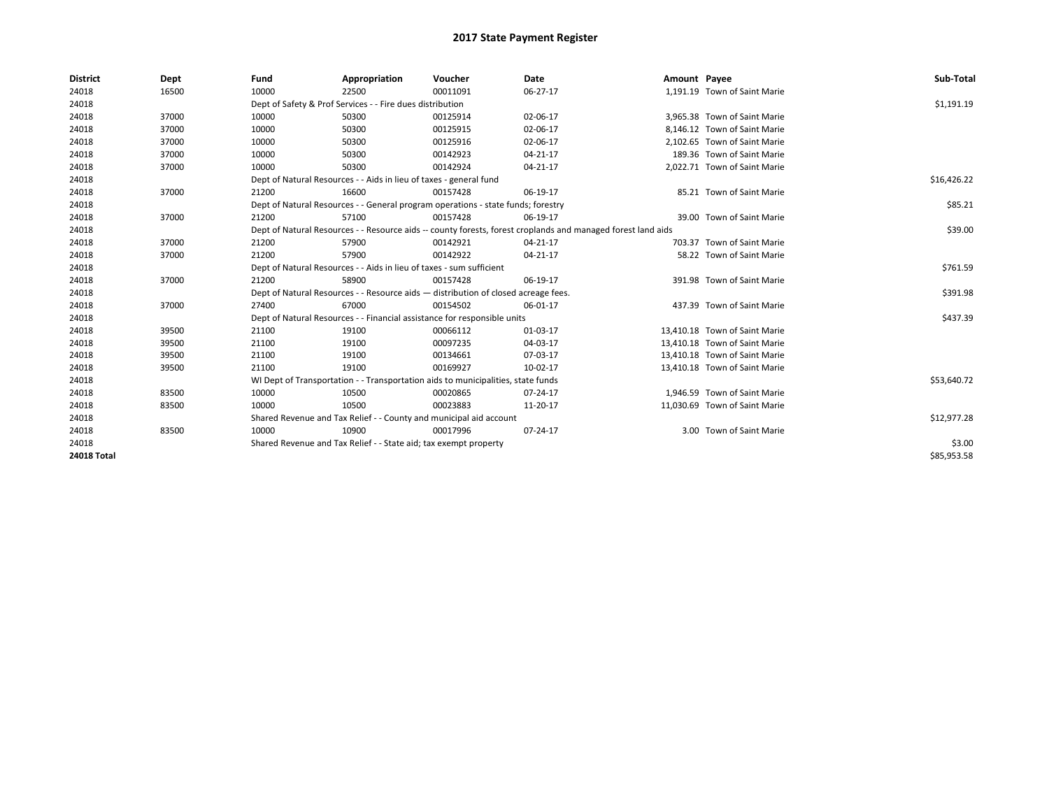| <b>District</b>    | Dept  | Fund  | Appropriation                                                        | Voucher                                                                            | <b>Date</b>                                                                                                  | Amount Payee |                               | Sub-Total   |
|--------------------|-------|-------|----------------------------------------------------------------------|------------------------------------------------------------------------------------|--------------------------------------------------------------------------------------------------------------|--------------|-------------------------------|-------------|
| 24018              | 16500 | 10000 | 22500                                                                | 00011091                                                                           | 06-27-17                                                                                                     |              | 1,191.19 Town of Saint Marie  |             |
| 24018              |       |       | Dept of Safety & Prof Services - - Fire dues distribution            |                                                                                    |                                                                                                              |              |                               | \$1,191.19  |
| 24018              | 37000 | 10000 | 50300                                                                | 00125914                                                                           | 02-06-17                                                                                                     |              | 3.965.38 Town of Saint Marie  |             |
| 24018              | 37000 | 10000 | 50300                                                                | 00125915                                                                           | 02-06-17                                                                                                     |              | 8.146.12 Town of Saint Marie  |             |
| 24018              | 37000 | 10000 | 50300                                                                | 00125916                                                                           | 02-06-17                                                                                                     |              | 2,102.65 Town of Saint Marie  |             |
| 24018              | 37000 | 10000 | 50300                                                                | 00142923                                                                           | 04-21-17                                                                                                     |              | 189.36 Town of Saint Marie    |             |
| 24018              | 37000 | 10000 | 50300                                                                | 00142924                                                                           | 04-21-17                                                                                                     |              | 2,022.71 Town of Saint Marie  |             |
| 24018              |       |       | Dept of Natural Resources - - Aids in lieu of taxes - general fund   |                                                                                    |                                                                                                              |              |                               | \$16,426.22 |
| 24018              | 37000 | 21200 | 16600                                                                | 00157428                                                                           | 06-19-17                                                                                                     |              | 85.21 Town of Saint Marie     |             |
| 24018              |       |       |                                                                      | Dept of Natural Resources - - General program operations - state funds; forestry   |                                                                                                              |              |                               | \$85.21     |
| 24018              | 37000 | 21200 | 57100                                                                | 00157428                                                                           | 06-19-17                                                                                                     |              | 39.00 Town of Saint Marie     |             |
| 24018              |       |       |                                                                      |                                                                                    | Dept of Natural Resources - - Resource aids -- county forests, forest croplands and managed forest land aids |              |                               | \$39.00     |
| 24018              | 37000 | 21200 | 57900                                                                | 00142921                                                                           | 04-21-17                                                                                                     |              | 703.37 Town of Saint Marie    |             |
| 24018              | 37000 | 21200 | 57900                                                                | 00142922                                                                           | 04-21-17                                                                                                     |              | 58.22 Town of Saint Marie     |             |
| 24018              |       |       | Dept of Natural Resources - - Aids in lieu of taxes - sum sufficient |                                                                                    |                                                                                                              |              |                               | \$761.59    |
| 24018              | 37000 | 21200 | 58900                                                                | 00157428                                                                           | 06-19-17                                                                                                     |              | 391.98 Town of Saint Marie    |             |
| 24018              |       |       |                                                                      | Dept of Natural Resources - - Resource aids - distribution of closed acreage fees. |                                                                                                              |              |                               | \$391.98    |
| 24018              | 37000 | 27400 | 67000                                                                | 00154502                                                                           | 06-01-17                                                                                                     |              | 437.39 Town of Saint Marie    |             |
| 24018              |       |       |                                                                      | Dept of Natural Resources - - Financial assistance for responsible units           |                                                                                                              |              |                               | \$437.39    |
| 24018              | 39500 | 21100 | 19100                                                                | 00066112                                                                           | 01-03-17                                                                                                     |              | 13,410.18 Town of Saint Marie |             |
| 24018              | 39500 | 21100 | 19100                                                                | 00097235                                                                           | 04-03-17                                                                                                     |              | 13,410.18 Town of Saint Marie |             |
| 24018              | 39500 | 21100 | 19100                                                                | 00134661                                                                           | 07-03-17                                                                                                     |              | 13,410.18 Town of Saint Marie |             |
| 24018              | 39500 | 21100 | 19100                                                                | 00169927                                                                           | 10-02-17                                                                                                     |              | 13,410.18 Town of Saint Marie |             |
| 24018              |       |       |                                                                      | WI Dept of Transportation - - Transportation aids to municipalities, state funds   |                                                                                                              |              |                               | \$53,640.72 |
| 24018              | 83500 | 10000 | 10500                                                                | 00020865                                                                           | 07-24-17                                                                                                     |              | 1.946.59 Town of Saint Marie  |             |
| 24018              | 83500 | 10000 | 10500                                                                | 00023883                                                                           | 11-20-17                                                                                                     |              | 11,030.69 Town of Saint Marie |             |
| 24018              |       |       | Shared Revenue and Tax Relief - - County and municipal aid account   |                                                                                    |                                                                                                              |              |                               | \$12,977.28 |
| 24018              | 83500 | 10000 | 10900                                                                | 00017996                                                                           | 07-24-17                                                                                                     |              | 3.00 Town of Saint Marie      |             |
| 24018              |       |       | Shared Revenue and Tax Relief - - State aid; tax exempt property     |                                                                                    |                                                                                                              |              |                               | \$3.00      |
| <b>24018 Total</b> |       |       |                                                                      |                                                                                    |                                                                                                              |              |                               | \$85,953.58 |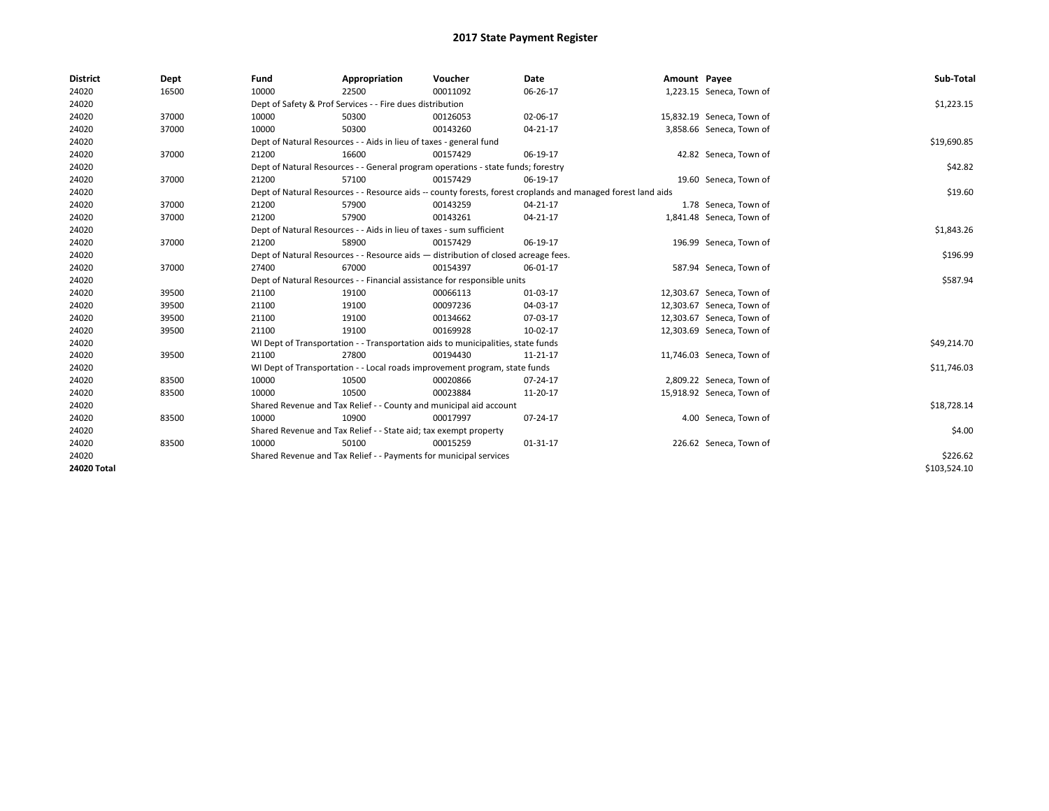| <b>District</b> | Dept  | Fund  | Appropriation                                                                      | Voucher  | Date                                                                                                         | Amount Payee |                           | Sub-Total    |  |  |
|-----------------|-------|-------|------------------------------------------------------------------------------------|----------|--------------------------------------------------------------------------------------------------------------|--------------|---------------------------|--------------|--|--|
| 24020           | 16500 | 10000 | 22500                                                                              | 00011092 | 06-26-17                                                                                                     |              | 1,223.15 Seneca, Town of  |              |  |  |
| 24020           |       |       | Dept of Safety & Prof Services - - Fire dues distribution                          |          |                                                                                                              |              |                           | \$1,223.15   |  |  |
| 24020           | 37000 | 10000 | 50300                                                                              | 00126053 | 02-06-17                                                                                                     |              | 15,832.19 Seneca, Town of |              |  |  |
| 24020           | 37000 | 10000 | 50300                                                                              | 00143260 | $04 - 21 - 17$                                                                                               |              | 3,858.66 Seneca, Town of  |              |  |  |
| 24020           |       |       | Dept of Natural Resources - - Aids in lieu of taxes - general fund                 |          |                                                                                                              |              |                           | \$19,690.85  |  |  |
| 24020           | 37000 | 21200 | 16600                                                                              | 00157429 | 06-19-17                                                                                                     |              | 42.82 Seneca, Town of     |              |  |  |
| 24020           |       |       | Dept of Natural Resources - - General program operations - state funds; forestry   |          |                                                                                                              |              |                           | \$42.82      |  |  |
| 24020           | 37000 | 21200 | 57100                                                                              | 00157429 | 06-19-17                                                                                                     |              | 19.60 Seneca, Town of     |              |  |  |
| 24020           |       |       |                                                                                    |          | Dept of Natural Resources - - Resource aids -- county forests, forest croplands and managed forest land aids |              |                           | \$19.60      |  |  |
| 24020           | 37000 | 21200 | 57900                                                                              | 00143259 | $04 - 21 - 17$                                                                                               |              | 1.78 Seneca, Town of      |              |  |  |
| 24020           | 37000 | 21200 | 57900                                                                              | 00143261 | $04 - 21 - 17$                                                                                               |              | 1,841.48 Seneca, Town of  |              |  |  |
| 24020           |       |       | Dept of Natural Resources - - Aids in lieu of taxes - sum sufficient               |          |                                                                                                              |              |                           | \$1,843.26   |  |  |
| 24020           | 37000 | 21200 | 58900                                                                              | 00157429 | 06-19-17                                                                                                     |              | 196.99 Seneca, Town of    |              |  |  |
| 24020           |       |       | Dept of Natural Resources - - Resource aids - distribution of closed acreage fees. |          |                                                                                                              |              |                           |              |  |  |
| 24020           | 37000 | 27400 | 67000                                                                              | 00154397 | 06-01-17                                                                                                     |              | 587.94 Seneca, Town of    |              |  |  |
| 24020           |       |       | Dept of Natural Resources - - Financial assistance for responsible units           |          |                                                                                                              |              |                           | \$587.94     |  |  |
| 24020           | 39500 | 21100 | 19100                                                                              | 00066113 | 01-03-17                                                                                                     |              | 12,303.67 Seneca, Town of |              |  |  |
| 24020           | 39500 | 21100 | 19100                                                                              | 00097236 | 04-03-17                                                                                                     |              | 12,303.67 Seneca, Town of |              |  |  |
| 24020           | 39500 | 21100 | 19100                                                                              | 00134662 | 07-03-17                                                                                                     |              | 12,303.67 Seneca, Town of |              |  |  |
| 24020           | 39500 | 21100 | 19100                                                                              | 00169928 | 10-02-17                                                                                                     |              | 12,303.69 Seneca, Town of |              |  |  |
| 24020           |       |       | WI Dept of Transportation - - Transportation aids to municipalities, state funds   |          |                                                                                                              |              |                           | \$49,214.70  |  |  |
| 24020           | 39500 | 21100 | 27800                                                                              | 00194430 | 11-21-17                                                                                                     |              | 11,746.03 Seneca, Town of |              |  |  |
| 24020           |       |       | WI Dept of Transportation - - Local roads improvement program, state funds         |          |                                                                                                              |              |                           | \$11,746.03  |  |  |
| 24020           | 83500 | 10000 | 10500                                                                              | 00020866 | 07-24-17                                                                                                     |              | 2,809.22 Seneca, Town of  |              |  |  |
| 24020           | 83500 | 10000 | 10500                                                                              | 00023884 | 11-20-17                                                                                                     |              | 15,918.92 Seneca, Town of |              |  |  |
| 24020           |       |       | Shared Revenue and Tax Relief - - County and municipal aid account                 |          |                                                                                                              |              |                           | \$18,728.14  |  |  |
| 24020           | 83500 | 10000 | 10900                                                                              | 00017997 | 07-24-17                                                                                                     |              | 4.00 Seneca, Town of      |              |  |  |
| 24020           |       |       | Shared Revenue and Tax Relief - - State aid; tax exempt property                   |          |                                                                                                              |              |                           | \$4.00       |  |  |
| 24020           | 83500 | 10000 | 50100                                                                              | 00015259 | $01 - 31 - 17$                                                                                               |              | 226.62 Seneca, Town of    |              |  |  |
| 24020           |       |       | Shared Revenue and Tax Relief - - Payments for municipal services                  |          |                                                                                                              |              |                           | \$226.62     |  |  |
| 24020 Total     |       |       |                                                                                    |          |                                                                                                              |              |                           | \$103.524.10 |  |  |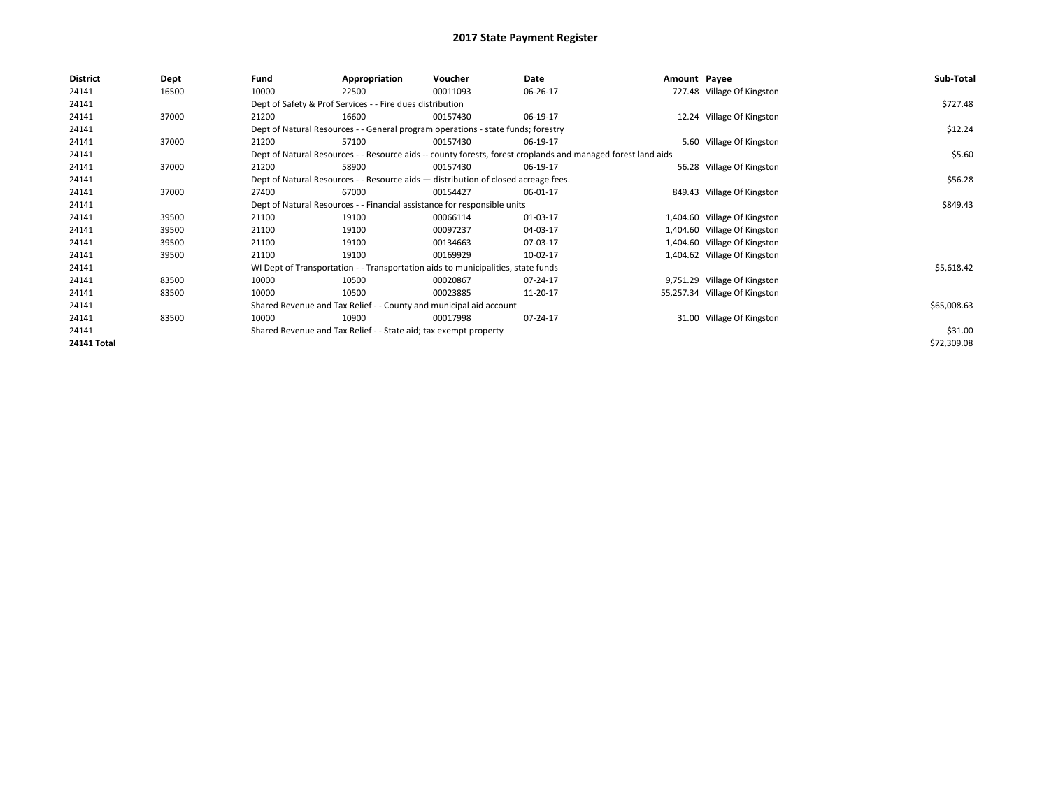| <b>District</b> | Dept  | Fund  | Appropriation                                                                      | Voucher  | Date                                                                                                         | Amount Payee |                               | Sub-Total   |
|-----------------|-------|-------|------------------------------------------------------------------------------------|----------|--------------------------------------------------------------------------------------------------------------|--------------|-------------------------------|-------------|
| 24141           | 16500 | 10000 | 22500                                                                              | 00011093 | 06-26-17                                                                                                     |              | 727.48 Village Of Kingston    |             |
| 24141           |       |       | Dept of Safety & Prof Services - - Fire dues distribution                          |          |                                                                                                              |              |                               | \$727.48    |
| 24141           | 37000 | 21200 | 16600                                                                              | 00157430 | 06-19-17                                                                                                     |              | 12.24 Village Of Kingston     |             |
| 24141           |       |       | Dept of Natural Resources - - General program operations - state funds; forestry   |          |                                                                                                              |              |                               | \$12.24     |
| 24141           | 37000 | 21200 | 57100                                                                              | 00157430 | 06-19-17                                                                                                     |              | 5.60 Village Of Kingston      |             |
| 24141           |       |       |                                                                                    |          | Dept of Natural Resources - - Resource aids -- county forests, forest croplands and managed forest land aids |              |                               | \$5.60      |
| 24141           | 37000 | 21200 | 58900                                                                              | 00157430 | 06-19-17                                                                                                     |              | 56.28 Village Of Kingston     |             |
| 24141           |       |       | Dept of Natural Resources - - Resource aids - distribution of closed acreage fees. |          |                                                                                                              |              |                               | \$56.28     |
| 24141           | 37000 | 27400 | 67000                                                                              | 00154427 | 06-01-17                                                                                                     |              | 849.43 Village Of Kingston    |             |
| 24141           |       |       | Dept of Natural Resources - - Financial assistance for responsible units           |          |                                                                                                              |              |                               | \$849.43    |
| 24141           | 39500 | 21100 | 19100                                                                              | 00066114 | 01-03-17                                                                                                     |              | 1,404.60 Village Of Kingston  |             |
| 24141           | 39500 | 21100 | 19100                                                                              | 00097237 | 04-03-17                                                                                                     |              | 1,404.60 Village Of Kingston  |             |
| 24141           | 39500 | 21100 | 19100                                                                              | 00134663 | 07-03-17                                                                                                     |              | 1,404.60 Village Of Kingston  |             |
| 24141           | 39500 | 21100 | 19100                                                                              | 00169929 | 10-02-17                                                                                                     |              | 1,404.62 Village Of Kingston  |             |
| 24141           |       |       | WI Dept of Transportation - - Transportation aids to municipalities, state funds   |          |                                                                                                              |              |                               | \$5,618.42  |
| 24141           | 83500 | 10000 | 10500                                                                              | 00020867 | 07-24-17                                                                                                     |              | 9,751.29 Village Of Kingston  |             |
| 24141           | 83500 | 10000 | 10500                                                                              | 00023885 | 11-20-17                                                                                                     |              | 55,257.34 Village Of Kingston |             |
| 24141           |       |       | Shared Revenue and Tax Relief - - County and municipal aid account                 |          |                                                                                                              |              |                               | \$65,008.63 |
| 24141           | 83500 | 10000 | 10900                                                                              | 00017998 | 07-24-17                                                                                                     |              | 31.00 Village Of Kingston     |             |
| 24141           |       |       | Shared Revenue and Tax Relief - - State aid; tax exempt property                   |          |                                                                                                              |              |                               | \$31.00     |
| 24141 Total     |       |       |                                                                                    |          |                                                                                                              |              |                               | \$72,309.08 |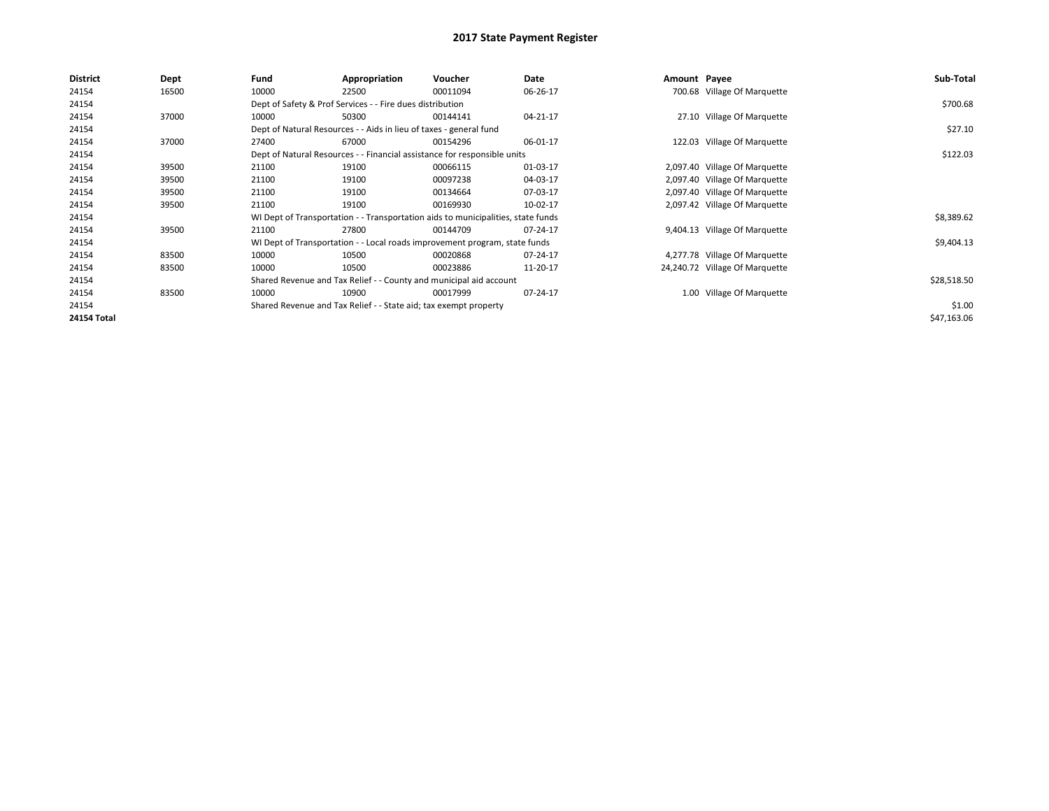| District    | Dept  | Fund  | Appropriation                                                                    | Voucher  | Date     | Amount Payee |                                | Sub-Total   |
|-------------|-------|-------|----------------------------------------------------------------------------------|----------|----------|--------------|--------------------------------|-------------|
| 24154       | 16500 | 10000 | 22500                                                                            | 00011094 | 06-26-17 |              | 700.68 Village Of Marquette    |             |
| 24154       |       |       | Dept of Safety & Prof Services - - Fire dues distribution                        |          |          |              |                                | \$700.68    |
| 24154       | 37000 | 10000 | 50300                                                                            | 00144141 | 04-21-17 |              | 27.10 Village Of Marquette     |             |
| 24154       |       |       | Dept of Natural Resources - - Aids in lieu of taxes - general fund               |          |          |              |                                | \$27.10     |
| 24154       | 37000 | 27400 | 67000                                                                            | 00154296 | 06-01-17 |              | 122.03 Village Of Marquette    |             |
| 24154       |       |       | Dept of Natural Resources - - Financial assistance for responsible units         |          |          |              |                                | \$122.03    |
| 24154       | 39500 | 21100 | 19100                                                                            | 00066115 | 01-03-17 |              | 2,097.40 Village Of Marquette  |             |
| 24154       | 39500 | 21100 | 19100                                                                            | 00097238 | 04-03-17 |              | 2,097.40 Village Of Marquette  |             |
| 24154       | 39500 | 21100 | 19100                                                                            | 00134664 | 07-03-17 |              | 2,097.40 Village Of Marquette  |             |
| 24154       | 39500 | 21100 | 19100                                                                            | 00169930 | 10-02-17 |              | 2,097.42 Village Of Marquette  |             |
| 24154       |       |       | WI Dept of Transportation - - Transportation aids to municipalities, state funds |          |          |              |                                | \$8,389.62  |
| 24154       | 39500 | 21100 | 27800                                                                            | 00144709 | 07-24-17 |              | 9,404.13 Village Of Marquette  |             |
| 24154       |       |       | WI Dept of Transportation - - Local roads improvement program, state funds       |          |          |              |                                | \$9,404.13  |
| 24154       | 83500 | 10000 | 10500                                                                            | 00020868 | 07-24-17 |              | 4,277.78 Village Of Marquette  |             |
| 24154       | 83500 | 10000 | 10500                                                                            | 00023886 | 11-20-17 |              | 24,240.72 Village Of Marquette |             |
| 24154       |       |       | Shared Revenue and Tax Relief - - County and municipal aid account               |          |          |              |                                | \$28,518.50 |
| 24154       | 83500 | 10000 | 10900                                                                            | 00017999 | 07-24-17 |              | 1.00 Village Of Marquette      |             |
| 24154       |       |       | Shared Revenue and Tax Relief - - State aid; tax exempt property                 |          |          |              |                                | \$1.00      |
| 24154 Total |       |       |                                                                                  |          |          |              |                                | \$47,163.06 |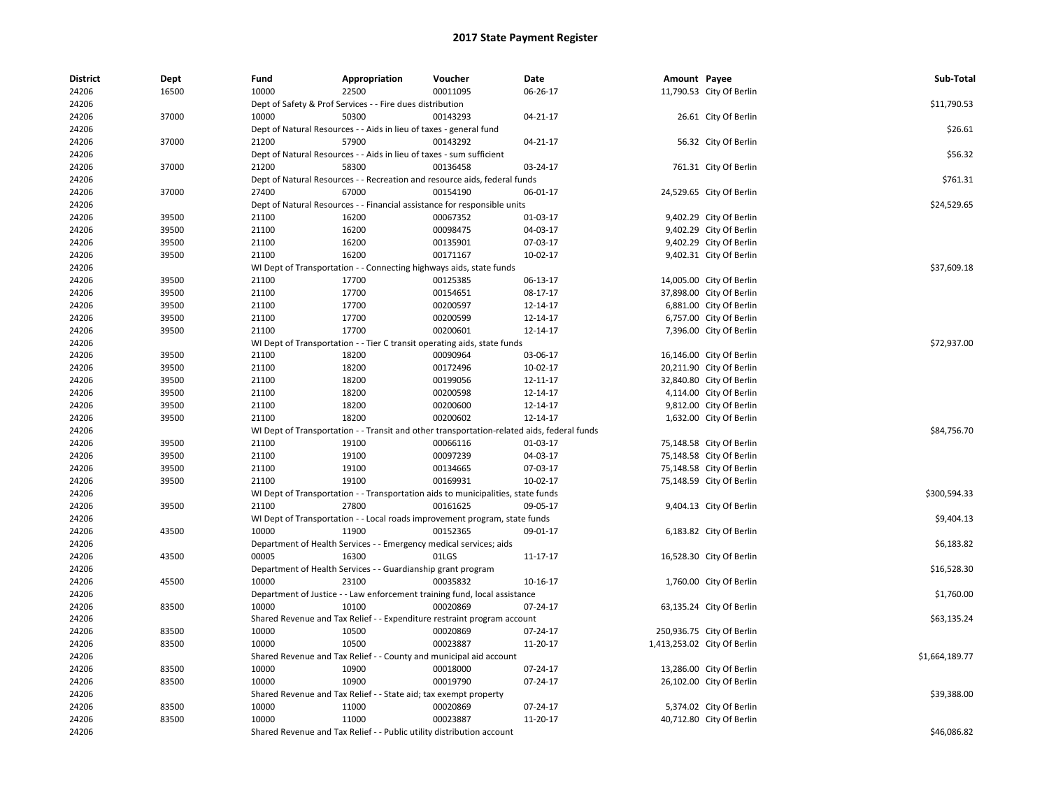| <b>District</b> | Dept  | Fund  | Appropriation                                                         | Voucher                                                                                    | Date     | Amount Payee |                             | Sub-Total      |
|-----------------|-------|-------|-----------------------------------------------------------------------|--------------------------------------------------------------------------------------------|----------|--------------|-----------------------------|----------------|
| 24206           | 16500 | 10000 | 22500                                                                 | 00011095                                                                                   | 06-26-17 |              | 11,790.53 City Of Berlin    |                |
| 24206           |       |       | Dept of Safety & Prof Services - - Fire dues distribution             |                                                                                            |          |              |                             | \$11,790.53    |
| 24206           | 37000 | 10000 | 50300                                                                 | 00143293                                                                                   | 04-21-17 |              | 26.61 City Of Berlin        |                |
| 24206           |       |       | Dept of Natural Resources - - Aids in lieu of taxes - general fund    |                                                                                            |          |              |                             | \$26.61        |
| 24206           | 37000 | 21200 | 57900                                                                 | 00143292                                                                                   | 04-21-17 |              | 56.32 City Of Berlin        |                |
| 24206           |       |       | Dept of Natural Resources - - Aids in lieu of taxes - sum sufficient  |                                                                                            |          |              |                             | \$56.32        |
| 24206           | 37000 | 21200 | 58300                                                                 | 00136458                                                                                   | 03-24-17 |              | 761.31 City Of Berlin       |                |
| 24206           |       |       |                                                                       | Dept of Natural Resources - - Recreation and resource aids, federal funds                  |          |              |                             | \$761.31       |
| 24206           | 37000 | 27400 | 67000                                                                 | 00154190                                                                                   | 06-01-17 |              | 24,529.65 City Of Berlin    |                |
| 24206           |       |       |                                                                       | Dept of Natural Resources - - Financial assistance for responsible units                   |          |              |                             | \$24,529.65    |
| 24206           | 39500 | 21100 | 16200                                                                 | 00067352                                                                                   | 01-03-17 |              | 9,402.29 City Of Berlin     |                |
| 24206           | 39500 | 21100 | 16200                                                                 | 00098475                                                                                   | 04-03-17 |              | 9,402.29 City Of Berlin     |                |
| 24206           | 39500 | 21100 | 16200                                                                 | 00135901                                                                                   | 07-03-17 |              | 9,402.29 City Of Berlin     |                |
| 24206           | 39500 | 21100 | 16200                                                                 | 00171167                                                                                   | 10-02-17 |              | 9,402.31 City Of Berlin     |                |
| 24206           |       |       | WI Dept of Transportation - - Connecting highways aids, state funds   |                                                                                            |          |              |                             | \$37,609.18    |
| 24206           | 39500 | 21100 | 17700                                                                 | 00125385                                                                                   | 06-13-17 |              | 14,005.00 City Of Berlin    |                |
| 24206           | 39500 | 21100 | 17700                                                                 | 00154651                                                                                   | 08-17-17 |              | 37,898.00 City Of Berlin    |                |
| 24206           | 39500 | 21100 | 17700                                                                 | 00200597                                                                                   | 12-14-17 |              | 6,881.00 City Of Berlin     |                |
| 24206           | 39500 | 21100 | 17700                                                                 | 00200599                                                                                   | 12-14-17 |              | 6,757.00 City Of Berlin     |                |
| 24206           | 39500 | 21100 | 17700                                                                 | 00200601                                                                                   | 12-14-17 |              | 7,396.00 City Of Berlin     |                |
| 24206           |       |       |                                                                       | WI Dept of Transportation - - Tier C transit operating aids, state funds                   |          |              |                             | \$72,937.00    |
| 24206           | 39500 | 21100 | 18200                                                                 | 00090964                                                                                   | 03-06-17 |              | 16,146.00 City Of Berlin    |                |
| 24206           | 39500 | 21100 | 18200                                                                 | 00172496                                                                                   | 10-02-17 |              | 20,211.90 City Of Berlin    |                |
| 24206           | 39500 | 21100 | 18200                                                                 | 00199056                                                                                   | 12-11-17 |              | 32,840.80 City Of Berlin    |                |
| 24206           | 39500 | 21100 | 18200                                                                 | 00200598                                                                                   | 12-14-17 |              | 4,114.00 City Of Berlin     |                |
| 24206           | 39500 | 21100 | 18200                                                                 | 00200600                                                                                   | 12-14-17 |              | 9,812.00 City Of Berlin     |                |
| 24206           | 39500 | 21100 | 18200                                                                 | 00200602                                                                                   | 12-14-17 |              | 1,632.00 City Of Berlin     |                |
| 24206           |       |       |                                                                       | WI Dept of Transportation - - Transit and other transportation-related aids, federal funds |          |              |                             | \$84,756.70    |
| 24206           | 39500 | 21100 | 19100                                                                 | 00066116                                                                                   | 01-03-17 |              | 75,148.58 City Of Berlin    |                |
| 24206           | 39500 | 21100 | 19100                                                                 | 00097239                                                                                   | 04-03-17 |              | 75,148.58 City Of Berlin    |                |
| 24206           | 39500 | 21100 | 19100                                                                 | 00134665                                                                                   | 07-03-17 |              | 75,148.58 City Of Berlin    |                |
| 24206           | 39500 | 21100 | 19100                                                                 | 00169931                                                                                   | 10-02-17 |              | 75,148.59 City Of Berlin    |                |
| 24206           |       |       |                                                                       | WI Dept of Transportation - - Transportation aids to municipalities, state funds           |          |              |                             | \$300,594.33   |
| 24206           | 39500 | 21100 | 27800                                                                 | 00161625                                                                                   | 09-05-17 |              |                             |                |
|                 |       |       |                                                                       |                                                                                            |          |              | 9,404.13 City Of Berlin     |                |
| 24206           | 43500 | 10000 | 11900                                                                 | WI Dept of Transportation - - Local roads improvement program, state funds<br>00152365     |          |              |                             | \$9,404.13     |
| 24206           |       |       |                                                                       |                                                                                            | 09-01-17 |              | 6,183.82 City Of Berlin     |                |
| 24206           |       |       | Department of Health Services - - Emergency medical services; aids    |                                                                                            |          |              |                             | \$6,183.82     |
| 24206           | 43500 | 00005 | 16300                                                                 | 01LGS                                                                                      | 11-17-17 |              | 16,528.30 City Of Berlin    |                |
| 24206           |       |       | Department of Health Services - - Guardianship grant program          |                                                                                            |          |              |                             | \$16,528.30    |
| 24206           | 45500 | 10000 | 23100                                                                 | 00035832                                                                                   | 10-16-17 |              | 1,760.00 City Of Berlin     |                |
| 24206           |       |       |                                                                       | Department of Justice - - Law enforcement training fund, local assistance                  |          |              |                             | \$1,760.00     |
| 24206           | 83500 | 10000 | 10100                                                                 | 00020869                                                                                   | 07-24-17 |              | 63,135.24 City Of Berlin    |                |
| 24206           |       |       |                                                                       | Shared Revenue and Tax Relief - - Expenditure restraint program account                    |          |              |                             | \$63,135.24    |
| 24206           | 83500 | 10000 | 10500                                                                 | 00020869                                                                                   | 07-24-17 |              | 250,936.75 City Of Berlin   |                |
| 24206           | 83500 | 10000 | 10500                                                                 | 00023887                                                                                   | 11-20-17 |              | 1,413,253.02 City Of Berlin |                |
| 24206           |       |       | Shared Revenue and Tax Relief - - County and municipal aid account    |                                                                                            |          |              |                             | \$1,664,189.77 |
| 24206           | 83500 | 10000 | 10900                                                                 | 00018000                                                                                   | 07-24-17 |              | 13,286.00 City Of Berlin    |                |
| 24206           | 83500 | 10000 | 10900                                                                 | 00019790                                                                                   | 07-24-17 |              | 26,102.00 City Of Berlin    |                |
| 24206           |       |       | Shared Revenue and Tax Relief - - State aid; tax exempt property      |                                                                                            |          |              |                             | \$39,388.00    |
| 24206           | 83500 | 10000 | 11000                                                                 | 00020869                                                                                   | 07-24-17 |              | 5,374.02 City Of Berlin     |                |
| 24206           | 83500 | 10000 | 11000                                                                 | 00023887                                                                                   | 11-20-17 |              | 40,712.80 City Of Berlin    |                |
| 24206           |       |       | Shared Revenue and Tax Relief - - Public utility distribution account |                                                                                            |          |              |                             | \$46,086.82    |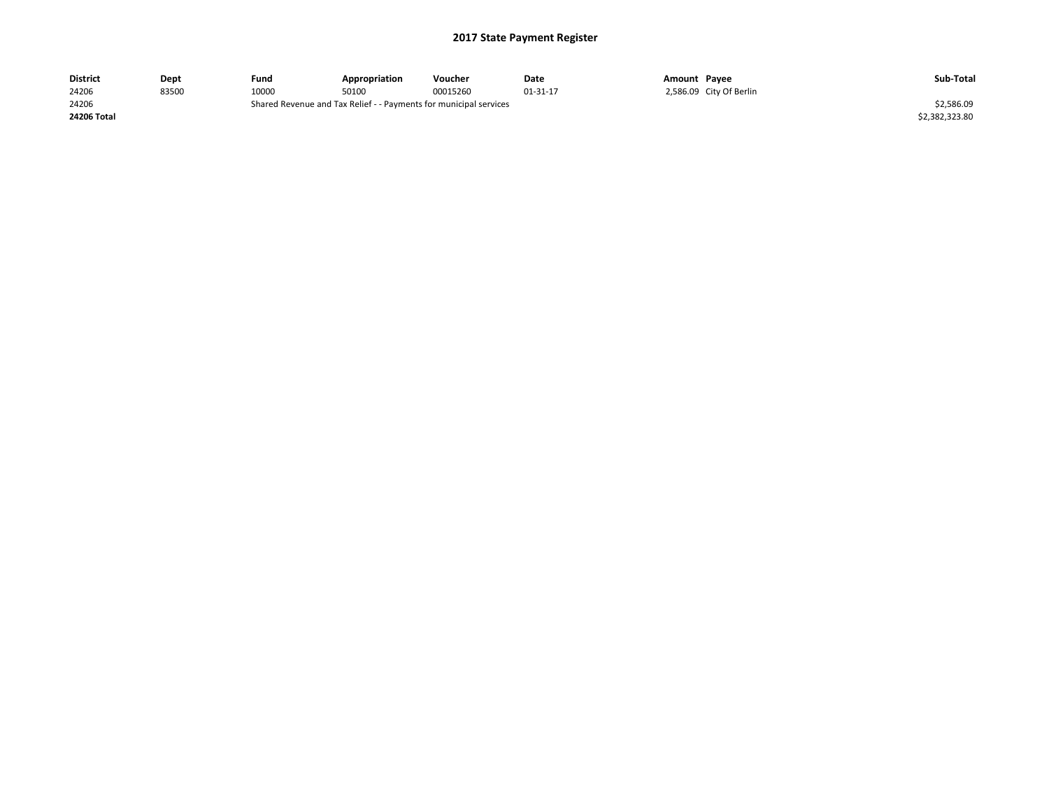| <b>District</b> | Dept  | Fund  | <b>Appropriation</b>                                              | Voucher  | Date     | Amount Payee |                         | Sub-Total      |
|-----------------|-------|-------|-------------------------------------------------------------------|----------|----------|--------------|-------------------------|----------------|
| 24206           | 83500 | 10000 | 50100                                                             | 00015260 | 01-31-17 |              | 2,586.09 City Of Berlin |                |
| 24206           |       |       | Shared Revenue and Tax Relief - - Payments for municipal services |          |          |              |                         | \$2,586.09     |
| 24206 Total     |       |       |                                                                   |          |          |              |                         | \$2.382.323.80 |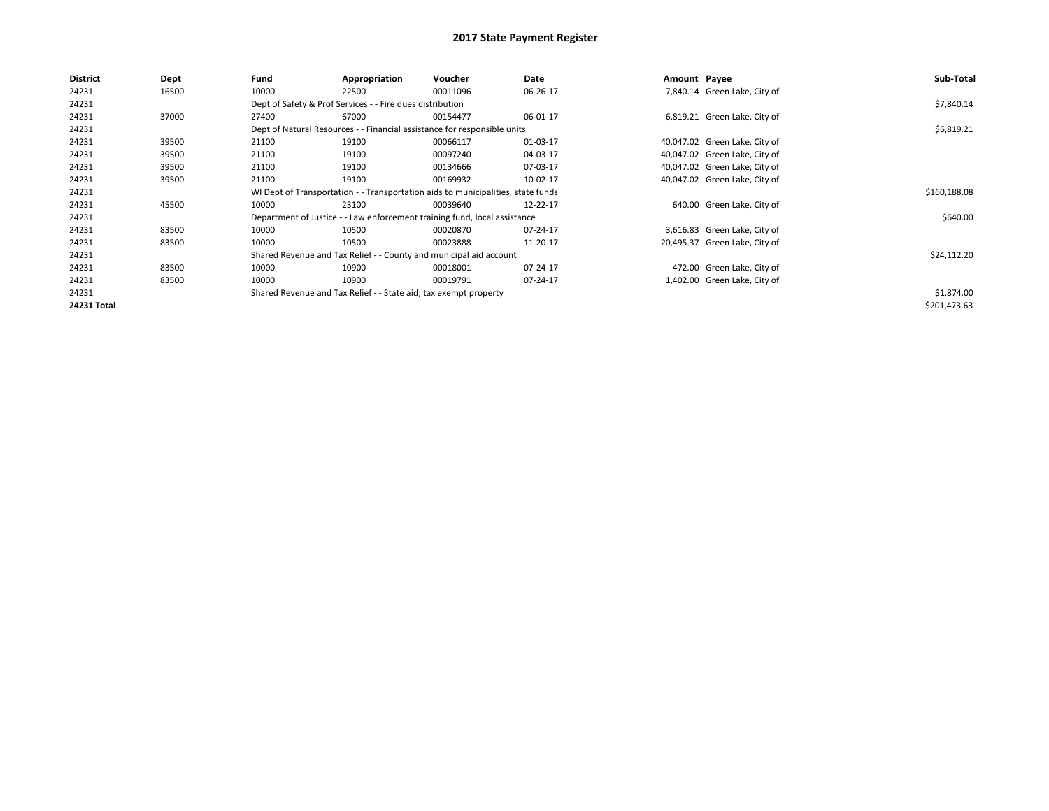| <b>District</b>    | Dept  | Fund                                                                     | Appropriation                                                                    | Voucher    | Date     | Amount Payee |                               | Sub-Total    |
|--------------------|-------|--------------------------------------------------------------------------|----------------------------------------------------------------------------------|------------|----------|--------------|-------------------------------|--------------|
| 24231              | 16500 | 10000                                                                    | 22500                                                                            | 00011096   | 06-26-17 |              | 7,840.14 Green Lake, City of  |              |
| 24231              |       | Dept of Safety & Prof Services - - Fire dues distribution                |                                                                                  | \$7,840.14 |          |              |                               |              |
| 24231              | 37000 | 27400                                                                    | 67000                                                                            | 00154477   | 06-01-17 |              | 6,819.21 Green Lake, City of  |              |
| 24231              |       | Dept of Natural Resources - - Financial assistance for responsible units |                                                                                  | \$6,819.21 |          |              |                               |              |
| 24231              | 39500 | 21100                                                                    | 19100                                                                            | 00066117   | 01-03-17 |              | 40,047.02 Green Lake, City of |              |
| 24231              | 39500 | 21100                                                                    | 19100                                                                            | 00097240   | 04-03-17 |              | 40,047.02 Green Lake, City of |              |
| 24231              | 39500 | 21100                                                                    | 19100                                                                            | 00134666   | 07-03-17 |              | 40,047.02 Green Lake, City of |              |
| 24231              | 39500 | 21100                                                                    | 19100                                                                            | 00169932   | 10-02-17 |              | 40,047.02 Green Lake, City of |              |
| 24231              |       |                                                                          | WI Dept of Transportation - - Transportation aids to municipalities, state funds |            |          |              |                               | \$160,188.08 |
| 24231              | 45500 | 10000                                                                    | 23100                                                                            | 00039640   | 12-22-17 |              | 640.00 Green Lake, City of    |              |
| 24231              |       |                                                                          | Department of Justice - - Law enforcement training fund, local assistance        |            |          |              |                               | \$640.00     |
| 24231              | 83500 | 10000                                                                    | 10500                                                                            | 00020870   | 07-24-17 |              | 3,616.83 Green Lake, City of  |              |
| 24231              | 83500 | 10000                                                                    | 10500                                                                            | 00023888   | 11-20-17 |              | 20,495.37 Green Lake, City of |              |
| 24231              |       |                                                                          | Shared Revenue and Tax Relief - - County and municipal aid account               |            |          |              |                               | \$24,112.20  |
| 24231              | 83500 | 10000                                                                    | 10900                                                                            | 00018001   | 07-24-17 |              | 472.00 Green Lake, City of    |              |
| 24231              | 83500 | 10000                                                                    | 10900                                                                            | 00019791   | 07-24-17 |              | 1,402.00 Green Lake, City of  |              |
| 24231              |       |                                                                          | Shared Revenue and Tax Relief - - State aid; tax exempt property                 |            |          |              |                               | \$1,874.00   |
| <b>24231 Total</b> |       |                                                                          |                                                                                  |            |          |              |                               | \$201,473.63 |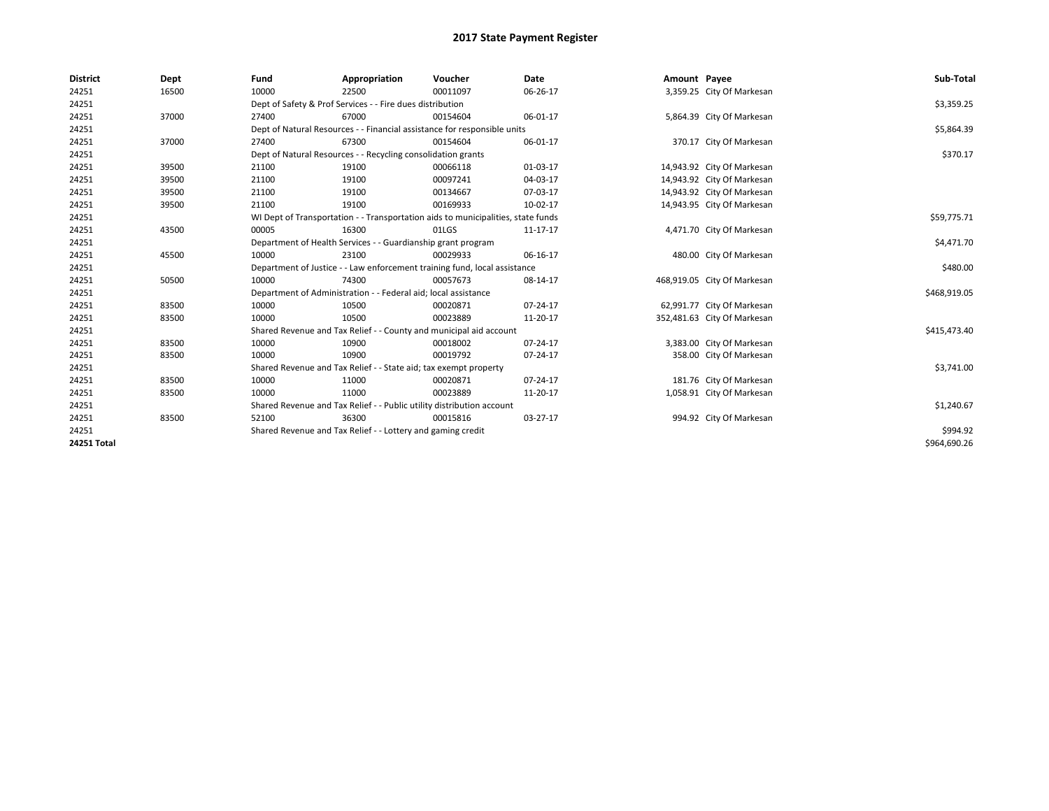| <b>District</b> | Dept  | Fund  | Appropriation                                                         | Voucher                                                                          | <b>Date</b> | Amount Payee |                             | Sub-Total    |
|-----------------|-------|-------|-----------------------------------------------------------------------|----------------------------------------------------------------------------------|-------------|--------------|-----------------------------|--------------|
| 24251           | 16500 | 10000 | 22500                                                                 | 00011097                                                                         | 06-26-17    |              | 3,359.25 City Of Markesan   |              |
| 24251           |       |       | Dept of Safety & Prof Services - - Fire dues distribution             |                                                                                  |             |              |                             | \$3,359.25   |
| 24251           | 37000 | 27400 | 67000                                                                 | 00154604                                                                         | 06-01-17    |              | 5,864.39 City Of Markesan   |              |
| 24251           |       |       |                                                                       | Dept of Natural Resources - - Financial assistance for responsible units         |             |              |                             | \$5,864.39   |
| 24251           | 37000 | 27400 | 67300                                                                 | 00154604                                                                         | 06-01-17    |              | 370.17 City Of Markesan     |              |
| 24251           |       |       | Dept of Natural Resources - - Recycling consolidation grants          |                                                                                  |             |              |                             | \$370.17     |
| 24251           | 39500 | 21100 | 19100                                                                 | 00066118                                                                         | 01-03-17    |              | 14,943.92 City Of Markesan  |              |
| 24251           | 39500 | 21100 | 19100                                                                 | 00097241                                                                         | 04-03-17    |              | 14,943.92 City Of Markesan  |              |
| 24251           | 39500 | 21100 | 19100                                                                 | 00134667                                                                         | 07-03-17    |              | 14,943.92 City Of Markesan  |              |
| 24251           | 39500 | 21100 | 19100                                                                 | 00169933                                                                         | 10-02-17    |              | 14,943.95 City Of Markesan  |              |
| 24251           |       |       |                                                                       | WI Dept of Transportation - - Transportation aids to municipalities, state funds |             |              |                             | \$59,775.71  |
| 24251           | 43500 | 00005 | 16300                                                                 | 01LGS                                                                            | 11-17-17    |              | 4,471.70 City Of Markesan   |              |
| 24251           |       |       | Department of Health Services - - Guardianship grant program          |                                                                                  |             |              |                             | \$4,471.70   |
| 24251           | 45500 | 10000 | 23100                                                                 | 00029933                                                                         | 06-16-17    |              | 480.00 City Of Markesan     |              |
| 24251           |       |       |                                                                       | Department of Justice - - Law enforcement training fund, local assistance        |             |              |                             | \$480.00     |
| 24251           | 50500 | 10000 | 74300                                                                 | 00057673                                                                         | 08-14-17    |              | 468,919.05 City Of Markesan |              |
| 24251           |       |       | Department of Administration - - Federal aid; local assistance        |                                                                                  |             |              |                             | \$468,919.05 |
| 24251           | 83500 | 10000 | 10500                                                                 | 00020871                                                                         | 07-24-17    |              | 62,991.77 City Of Markesan  |              |
| 24251           | 83500 | 10000 | 10500                                                                 | 00023889                                                                         | 11-20-17    |              | 352,481.63 City Of Markesan |              |
| 24251           |       |       |                                                                       | Shared Revenue and Tax Relief - - County and municipal aid account               |             |              |                             | \$415,473.40 |
| 24251           | 83500 | 10000 | 10900                                                                 | 00018002                                                                         | 07-24-17    |              | 3,383.00 City Of Markesan   |              |
| 24251           | 83500 | 10000 | 10900                                                                 | 00019792                                                                         | 07-24-17    |              | 358.00 City Of Markesan     |              |
| 24251           |       |       | Shared Revenue and Tax Relief - - State aid; tax exempt property      |                                                                                  |             |              |                             | \$3,741.00   |
| 24251           | 83500 | 10000 | 11000                                                                 | 00020871                                                                         | 07-24-17    |              | 181.76 City Of Markesan     |              |
| 24251           | 83500 | 10000 | 11000                                                                 | 00023889                                                                         | 11-20-17    |              | 1,058.91 City Of Markesan   |              |
| 24251           |       |       | Shared Revenue and Tax Relief - - Public utility distribution account |                                                                                  |             |              |                             | \$1,240.67   |
| 24251           | 83500 | 52100 | 36300                                                                 | 00015816                                                                         | 03-27-17    |              | 994.92 City Of Markesan     |              |
| 24251           |       |       | Shared Revenue and Tax Relief - - Lottery and gaming credit           |                                                                                  |             |              |                             | \$994.92     |
| 24251 Total     |       |       |                                                                       |                                                                                  |             |              |                             | \$964,690.26 |